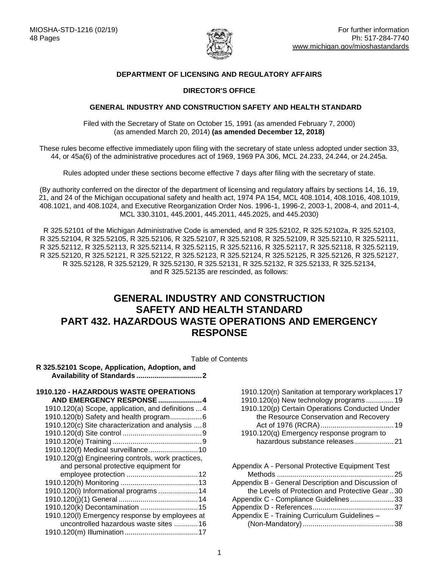

#### **DEPARTMENT OF LICENSING AND REGULATORY AFFAIRS**

#### **DIRECTOR'S OFFICE**

#### **GENERAL INDUSTRY AND CONSTRUCTION SAFETY AND HEALTH STANDARD**

Filed with the Secretary of State on October 15, 1991 (as amended February 7, 2000) (as amended March 20, 2014) **(as amended December 12, 2018)**

These rules become effective immediately upon filing with the secretary of state unless adopted under section 33, 44, or 45a(6) of the administrative procedures act of 1969, 1969 PA 306, MCL 24.233, 24.244, or 24.245a.

Rules adopted under these sections become effective 7 days after filing with the secretary of state.

(By authority conferred on the director of the department of licensing and regulatory affairs by sections 14, 16, 19, 21, and 24 of the Michigan occupational safety and health act, 1974 PA 154, MCL 408.1014, 408.1016, 408.1019, 408.1021, and 408.1024, and Executive Reorganization Order Nos. 1996-1, 1996-2, 2003-1, 2008-4, and 2011-4, MCL 330.3101, 445.2001, 445.2011, 445.2025, and 445.2030)

R 325.52101 of the Michigan Administrative Code is amended, and R 325.52102, R 325.52102a, R 325.52103, R 325.52104, R 325.52105, R 325.52106, R 325.52107, R 325.52108, R 325.52109, R 325.52110, R 325.52111, R 325.52112, R 325.52113, R 325.52114, R 325.52115, R 325.52116, R 325.52117, R 325.52118, R 325.52119, R 325.52120, R 325.52121, R 325.52122, R 325.52123, R 325.52124, R 325.52125, R 325.52126, R 325.52127, R 325.52128, R 325.52129, R 325.52130, R 325.52131, R 325.52132, R 325.52133, R 325.52134, and R 325.52135 are rescinded, as follows:

# **GENERAL INDUSTRY AND CONSTRUCTION SAFETY AND HEALTH STANDARD PART 432. HAZARDOUS WASTE OPERATIONS AND EMERGENCY RESPONSE**

Table of Contents

**R [325.52101 Scope, Application, Adoption, and](#page-1-0)  [Availability of Standards](#page-1-0) .................................2**

| 1910.120 - HAZARDOUS WASTE OPERATIONS<br>AND EMERGENCY RESPONSE  4 |
|--------------------------------------------------------------------|
| 1910.120(a) Scope, application, and definitions 4                  |
| 1910.120(b) Safety and health program6                             |
| 1910.120(c) Site characterization and analysis  8                  |
|                                                                    |
|                                                                    |
| 1910.120(f) Medical surveillance 10                                |
| 1910.120(g) Engineering controls, work practices,                  |
| and personal protective equipment for                              |
|                                                                    |
|                                                                    |
| 1910.120(i) Informational programs  14                             |
|                                                                    |
|                                                                    |
| 1910.120(I) Emergency response by employees at                     |
| uncontrolled hazardous waste sites  16                             |
|                                                                    |
|                                                                    |

| 1910.120(n) Sanitation at temporary workplaces 17 |
|---------------------------------------------------|
| 1910.120(o) New technology programs19             |
| 1910.120(p) Certain Operations Conducted Under    |
| the Resource Conservation and Recovery            |
|                                                   |
| 1910.120(q) Emergency response program to         |
|                                                   |
|                                                   |
| Appendix A - Personal Protective Equipment Test   |

| Appendix A - Fersonal Frotective Equipment Test    |  |
|----------------------------------------------------|--|
|                                                    |  |
| Appendix B - General Description and Discussion of |  |
| the Levels of Protection and Protective Gear 30    |  |
| Appendix C - Compliance Guidelines 33              |  |
|                                                    |  |
| Appendix E - Training Curriculum Guidelines -      |  |
|                                                    |  |
|                                                    |  |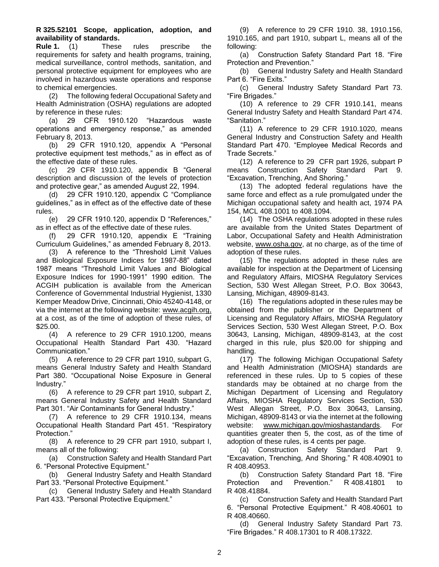#### **R 325.52101 Scope, application, adoption, and availability of standards.**

<span id="page-1-0"></span>**Rule 1.** (1) These rules prescribe the requirements for safety and health programs, training, medical surveillance, control methods, sanitation, and personal protective equipment for employees who are involved in hazardous waste operations and response to chemical emergencies.

(2) The following federal Occupational Safety and Health Administration (OSHA) regulations are adopted by reference in these rules:

(a) 29 CFR 1910.120 "Hazardous waste operations and emergency response," as amended February 8, 2013.

(b) 29 CFR 1910.120, appendix A "Personal protective equipment test methods," as in effect as of the effective date of these rules.

(c) 29 CFR 1910.120, appendix B "General description and discussion of the levels of protection and protective gear," as amended August 22, 1994.

(d) 29 CFR 1910.120, appendix C "Compliance guidelines," as in effect as of the effective date of these rules.

(e) 29 CFR 1910.120, appendix D "References," as in effect as of the effective date of these rules.

(f) 29 CFR 1910.120, appendix E "Training Curriculum Guidelines," as amended February 8, 2013.

(3) A reference to the "Threshold Limit Values and Biological Exposure Indices for 1987-88" dated 1987 means "Threshold Limit Values and Biological Exposure Indices for 1990-1991" 1990 edition. The ACGIH publication is available from the American Conference of Governmental Industrial Hygienist, 1330 Kemper Meadow Drive, Cincinnati, Ohio 45240-4148, or via the internet at the following website: [www.acgih.org,](http://www.acgih.org/) at a cost, as of the time of adoption of these rules, of \$25.00.

(4) A reference to 29 CFR 1910.1200, means Occupational Health Standard Part 430. "Hazard Communication."

(5) A reference to 29 CFR part 1910, subpart G, means General Industry Safety and Health Standard Part 380. "Occupational Noise Exposure in General Industry."

(6) A reference to 29 CFR part 1910, subpart Z, means General Industry Safety and Health Standard Part 301. "Air Contaminants for General Industry."

(7) A reference to 29 CFR 1910.134, means Occupational Health Standard Part 451. "Respiratory Protection."

(8) A reference to 29 CFR part 1910, subpart I, means all of the following:

(a) Construction Safety and Health Standard Part 6. "Personal Protective Equipment."

(b) General Industry Safety and Health Standard Part 33. "Personal Protective Equipment."

(c) General Industry Safety and Health Standard Part 433. "Personal Protective Equipment."

(9) A reference to 29 CFR 1910. 38, 1910.156, 1910.165, and part 1910, subpart L, means all of the following:

(a) Construction Safety Standard Part 18. "Fire Protection and Prevention."

(b) General Industry Safety and Health Standard Part 6. "Fire Exits."

(c) General Industry Safety Standard Part 73. "Fire Brigades."

(10) A reference to 29 CFR 1910.141, means General Industry Safety and Health Standard Part 474. "Sanitation."

(11) A reference to 29 CFR 1910.1020, means General Industry and Construction Safety and Health Standard Part 470. "Employee Medical Records and Trade Secrets."

(12) A reference to 29 CFR part 1926, subpart P means Construction Safety Standard Part 9. "Excavation, Trenching, And Shoring."

(13) The adopted federal regulations have the same force and effect as a rule promulgated under the Michigan occupational safety and health act, 1974 PA 154, MCL 408.1001 to 408.1094.

(14) The OSHA regulations adopted in these rules are available from the United States Department of Labor, Occupational Safety and Health Administration website, www.osha.gov, at no charge, as of the time of adoption of these rules.

(15) The regulations adopted in these rules are available for inspection at the Department of Licensing and Regulatory Affairs, MIOSHA Regulatory Services Section, 530 West Allegan Street, P.O. Box 30643, Lansing, Michigan, 48909-8143.

(16) The regulations adopted in these rules may be obtained from the publisher or the Department of Licensing and Regulatory Affairs, MIOSHA Regulatory Services Section, 530 West Allegan Street, P.O. Box 30643, Lansing, Michigan, 48909-8143, at the cost charged in this rule, plus \$20.00 for shipping and handling.

(17) The following Michigan Occupational Safety and Health Administration (MIOSHA) standards are referenced in these rules. Up to 5 copies of these standards may be obtained at no charge from the Michigan Department of Licensing and Regulatory Affairs, MIOSHA Regulatory Services Section, 530 West Allegan Street, P.O. Box 30643, Lansing, Michigan, 48909-8143 or via the internet at the following website: [www.michigan.gov/mioshastandards.](http://www.michigan.gov/mioshastandards) For quantities greater then 5, the cost, as of the time of adoption of these rules, is 4 cents per page.

(a) Construction Safety Standard Part 9. "Excavation, Trenching, And Shoring." R 408.40901 to R 408.40953.

(b) Construction Safety Standard Part 18. "Fire Protection and Prevention." R 408.41801 to R 408.41884.

(c) Construction Safety and Health Standard Part 6. "Personal Protective Equipment." R 408.40601 to R 408.40660.

(d) General Industry Safety Standard Part 73. "Fire Brigades." R 408.17301 to R 408.17322.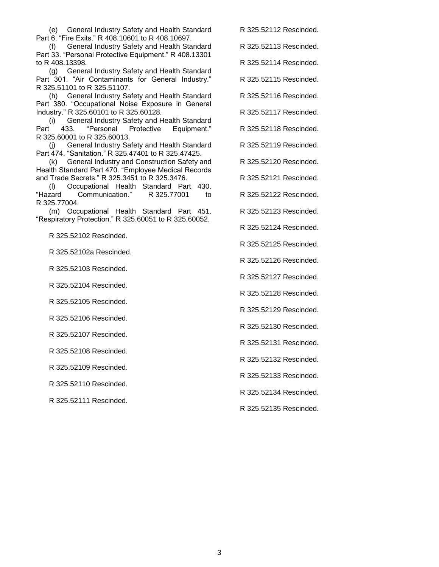(e) General Industry Safety and Health Standard Part 6. "Fire Exits." R 408.10601 to R 408.10697.

(f) General Industry Safety and Health Standard Part 33. "Personal Protective Equipment." R 408.13301 to R 408.13398.

(g) General Industry Safety and Health Standard Part 301. "Air Contaminants for General Industry." R 325.51101 to R 325.51107.

(h) General Industry Safety and Health Standard Part 380. "Occupational Noise Exposure in General Industry." R 325.60101 to R 325.60128.

(i) General Industry Safety and Health Standard Part 433. "Personal Protective Equipment." R 325.60001 to R 325.60013.

(j) General Industry Safety and Health Standard Part 474. "Sanitation." R 325.47401 to R 325.47425.

(k) General Industry and Construction Safety and Health Standard Part 470. "Employee Medical Records and Trade Secrets." R 325.3451 to R 325.3476.

(l) Occupational Health Standard Part 430. "Hazard Communication." R 325.77001 to R 325.77004.

(m) Occupational Health Standard Part 451. "Respiratory Protection." R 325.60051 to R 325.60052.

R 325.52102 Rescinded.

R 325.52102a Rescinded.

R 325.52103 Rescinded.

R 325.52104 Rescinded.

R 325.52105 Rescinded.

R 325.52106 Rescinded.

R 325.52107 Rescinded.

R 325.52108 Rescinded.

R 325.52109 Rescinded.

R 325.52110 Rescinded.

R 325.52111 Rescinded.

R 325.52112 Rescinded.

R 325.52113 Rescinded.

R 325.52114 Rescinded.

R 325.52115 Rescinded.

R 325.52116 Rescinded.

R 325.52117 Rescinded.

R 325.52118 Rescinded.

R 325.52119 Rescinded.

R 325.52120 Rescinded.

R 325.52121 Rescinded.

R 325.52122 Rescinded.

R 325.52123 Rescinded.

R 325.52124 Rescinded.

R 325.52125 Rescinded.

R 325.52126 Rescinded.

R 325.52127 Rescinded.

R 325.52128 Rescinded.

R 325.52129 Rescinded.

R 325.52130 Rescinded.

R 325.52131 Rescinded.

R 325.52132 Rescinded.

R 325.52133 Rescinded.

R 325.52134 Rescinded.

R 325.52135 Rescinded.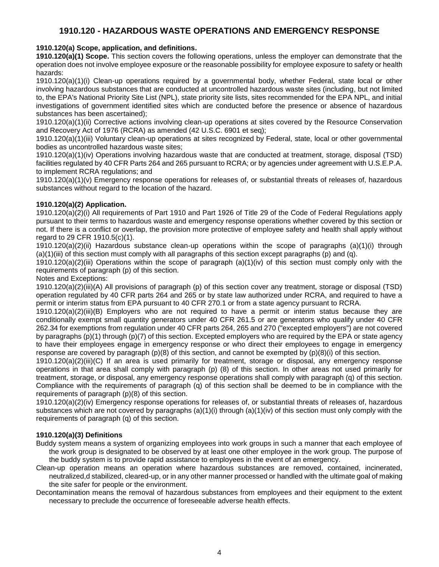## <span id="page-3-1"></span><span id="page-3-0"></span>**1910.120 - HAZARDOUS WASTE OPERATIONS AND EMERGENCY RESPONSE**

## **1910.120(a) Scope, application, and definitions.**

**1910.120(a)(1) Scope.** This section covers the following operations, unless the employer can demonstrate that the operation does not involve employee exposure or the reasonable possibility for employee exposure to safety or health hazards:

1910.120(a)(1)(i) Clean-up operations required by a governmental body, whether Federal, state local or other involving hazardous substances that are conducted at uncontrolled hazardous waste sites (including, but not limited to, the EPA's National Priority Site List (NPL), state priority site lists, sites recommended for the EPA NPL, and initial investigations of government identified sites which are conducted before the presence or absence of hazardous substances has been ascertained);

1910.120(a)(1)(ii) Corrective actions involving clean-up operations at sites covered by the Resource Conservation and Recovery Act of 1976 (RCRA) as amended (42 U.S.C. 6901 et seq);

1910.120(a)(1)(iii) Voluntary clean-up operations at sites recognized by Federal, state, local or other governmental bodies as uncontrolled hazardous waste sites;

1910.120(a)(1)(iv) Operations involving hazardous waste that are conducted at treatment, storage, disposal (TSD) facilities regulated by 40 CFR Parts 264 and 265 pursuant to RCRA; or by agencies under agreement with U.S.E.P.A. to implement RCRA regulations; and

1910.120(a)(1)(v) Emergency response operations for releases of, or substantial threats of releases of, hazardous substances without regard to the location of the hazard.

#### **1910.120(a)(2) Application.**

1910.120(a)(2)(i) All requirements of Part 1910 and Part 1926 of Title 29 of the Code of Federal Regulations apply pursuant to their terms to hazardous waste and emergency response operations whether covered by this section or not. If there is a conflict or overlap, the provision more protective of employee safety and health shall apply without regard to 29 CFR 1910.5(c)(1).

1910.120(a)(2)(ii) Hazardous substance clean-up operations within the scope of paragraphs (a)(1)(i) through (a)(1)(iii) of this section must comply with all paragraphs of this section except paragraphs (p) and (q).

1910.120(a)(2)(iii) Operations within the scope of paragraph (a)(1)(iv) of this section must comply only with the requirements of paragraph (p) of this section.

#### Notes and Exceptions:

1910.120(a)(2)(iii)(A) All provisions of paragraph (p) of this section cover any treatment, storage or disposal (TSD) operation regulated by 40 CFR parts 264 and 265 or by state law authorized under RCRA, and required to have a permit or interim status from EPA pursuant to 40 CFR 270.1 or from a state agency pursuant to RCRA.

1910.120(a)(2)(iii)(B) Employers who are not required to have a permit or interim status because they are conditionally exempt small quantity generators under 40 CFR 261.5 or are generators who qualify under 40 CFR 262.34 for exemptions from regulation under 40 CFR parts 264, 265 and 270 ("excepted employers") are not covered by paragraphs (p)(1) through (p)(7) of this section. Excepted employers who are required by the EPA or state agency to have their employees engage in emergency response or who direct their employees to engage in emergency response are covered by paragraph  $(p)(8)$  of this section, and cannot be exempted by  $(p)(8)(i)$  of this section.

1910.120(a)(2)(iii)(C) If an area is used primarily for treatment, storage or disposal, any emergency response operations in that area shall comply with paragraph (p) (8) of this section. In other areas not used primarily for treatment, storage, or disposal, any emergency response operations shall comply with paragraph (q) of this section. Compliance with the requirements of paragraph (q) of this section shall be deemed to be in compliance with the requirements of paragraph (p)(8) of this section.

1910.120(a)(2)(iv) Emergency response operations for releases of, or substantial threats of releases of, hazardous substances which are not covered by paragraphs  $(a)(1)(i)$  through  $(a)(1)(iv)$  of this section must only comply with the requirements of paragraph (q) of this section.

## **1910.120(a)(3) Definitions**

- Buddy system means a system of organizing employees into work groups in such a manner that each employee of the work group is designated to be observed by at least one other employee in the work group. The purpose of the buddy system is to provide rapid assistance to employees in the event of an emergency.
- Clean-up operation means an operation where hazardous substances are removed, contained, incinerated, neutralized,d stabilized, cleared-up, or in any other manner processed or handled with the ultimate goal of making the site safer for people or the environment.
- Decontamination means the removal of hazardous substances from employees and their equipment to the extent necessary to preclude the occurrence of foreseeable adverse health effects.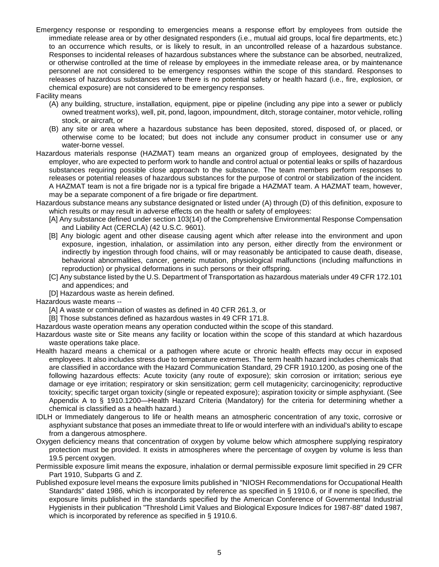- Emergency response or responding to emergencies means a response effort by employees from outside the immediate release area or by other designated responders (i.e., mutual aid groups, local fire departments, etc.) to an occurrence which results, or is likely to result, in an uncontrolled release of a hazardous substance. Responses to incidental releases of hazardous substances where the substance can be absorbed, neutralized, or otherwise controlled at the time of release by employees in the immediate release area, or by maintenance personnel are not considered to be emergency responses within the scope of this standard. Responses to releases of hazardous substances where there is no potential safety or health hazard (i.e., fire, explosion, or chemical exposure) are not considered to be emergency responses.
- Facility means
	- (A) any building, structure, installation, equipment, pipe or pipeline (including any pipe into a sewer or publicly owned treatment works), well, pit, pond, lagoon, impoundment, ditch, storage container, motor vehicle, rolling stock, or aircraft, or
	- (B) any site or area where a hazardous substance has been deposited, stored, disposed of, or placed, or otherwise come to be located; but does not include any consumer product in consumer use or any water-borne vessel.
- Hazardous materials response (HAZMAT) team means an organized group of employees, designated by the employer, who are expected to perform work to handle and control actual or potential leaks or spills of hazardous substances requiring possible close approach to the substance. The team members perform responses to releases or potential releases of hazardous substances for the purpose of control or stabilization of the incident. A HAZMAT team is not a fire brigade nor is a typical fire brigade a HAZMAT team. A HAZMAT team, however, may be a separate component of a fire brigade or fire department.
- Hazardous substance means any substance designated or listed under (A) through (D) of this definition, exposure to which results or may result in adverse effects on the health or safety of employees:
	- [A] Any substance defined under section 103(14) of the Comprehensive Environmental Response Compensation and Liability Act (CERCLA) (42 U.S.C. 9601).
	- [B] Any biologic agent and other disease causing agent which after release into the environment and upon exposure, ingestion, inhalation, or assimilation into any person, either directly from the environment or indirectly by ingestion through food chains, will or may reasonably be anticipated to cause death, disease, behavioral abnormalities, cancer, genetic mutation, physiological malfunctions (including malfunctions in reproduction) or physical deformations in such persons or their offspring.
	- [C] Any substance listed by the U.S. Department of Transportation as hazardous materials under 49 CFR 172.101 and appendices; and
	- [D] Hazardous waste as herein defined.

Hazardous waste means --

- [A] A waste or combination of wastes as defined in 40 CFR 261.3, or
- [B] Those substances defined as hazardous wastes in 49 CFR 171.8.
- Hazardous waste operation means any operation conducted within the scope of this standard.
- Hazardous waste site or Site means any facility or location within the scope of this standard at which hazardous waste operations take place.
- Health hazard means a chemical or a pathogen where acute or chronic health effects may occur in exposed employees. It also includes stress due to temperature extremes. The term health hazard includes chemicals that are classified in accordance with the Hazard Communication Standard, 29 CFR 1910.1200, as posing one of the following hazardous effects: Acute toxicity (any route of exposure); skin corrosion or irritation; serious eye damage or eye irritation; respiratory or skin sensitization; germ cell mutagenicity; carcinogenicity; reproductive toxicity; specific target organ toxicity (single or repeated exposure); aspiration toxicity or simple asphyxiant. (See Appendix A to § 1910.1200—Health Hazard Criteria (Mandatory) for the criteria for determining whether a chemical is classified as a health hazard.)
- IDLH or Immediately dangerous to life or health means an atmospheric concentration of any toxic, corrosive or asphyxiant substance that poses an immediate threat to life or would interfere with an individual's ability to escape from a dangerous atmosphere.
- Oxygen deficiency means that concentration of oxygen by volume below which atmosphere supplying respiratory protection must be provided. It exists in atmospheres where the percentage of oxygen by volume is less than 19.5 percent oxygen.
- Permissible exposure limit means the exposure, inhalation or dermal permissible exposure limit specified in 29 CFR Part 1910, Subparts G and Z.
- Published exposure level means the exposure limits published in "NIOSH Recommendations for Occupational Health Standards" dated 1986, which is incorporated by reference as specified in § 1910.6, or if none is specified, the exposure limits published in the standards specified by the American Conference of Governmental Industrial Hygienists in their publication "Threshold Limit Values and Biological Exposure Indices for 1987-88" dated 1987, which is incorporated by reference as specified in § 1910.6.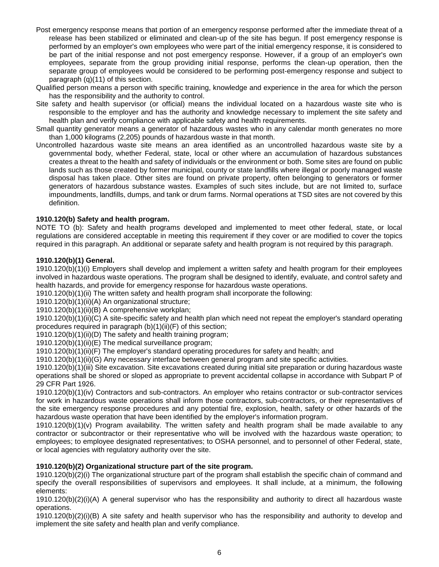- Post emergency response means that portion of an emergency response performed after the immediate threat of a release has been stabilized or eliminated and clean-up of the site has begun. If post emergency response is performed by an employer's own employees who were part of the initial emergency response, it is considered to be part of the initial response and not post emergency response. However, if a group of an employer's own employees, separate from the group providing initial response, performs the clean-up operation, then the separate group of employees would be considered to be performing post-emergency response and subject to paragraph (q)(11) of this section.
- Qualified person means a person with specific training, knowledge and experience in the area for which the person has the responsibility and the authority to control.
- Site safety and health supervisor (or official) means the individual located on a hazardous waste site who is responsible to the employer and has the authority and knowledge necessary to implement the site safety and health plan and verify compliance with applicable safety and health requirements.
- Small quantity generator means a generator of hazardous wastes who in any calendar month generates no more than 1,000 kilograms (2,205) pounds of hazardous waste in that month.
- Uncontrolled hazardous waste site means an area identified as an uncontrolled hazardous waste site by a governmental body, whether Federal, state, local or other where an accumulation of hazardous substances creates a threat to the health and safety of individuals or the environment or both. Some sites are found on public lands such as those created by former municipal, county or state landfills where illegal or poorly managed waste disposal has taken place. Other sites are found on private property, often belonging to generators or former generators of hazardous substance wastes. Examples of such sites include, but are not limited to, surface impoundments, landfills, dumps, and tank or drum farms. Normal operations at TSD sites are not covered by this definition.

## <span id="page-5-0"></span>**1910.120(b) Safety and health program.**

NOTE TO (b): Safety and health programs developed and implemented to meet other federal, state, or local regulations are considered acceptable in meeting this requirement if they cover or are modified to cover the topics required in this paragraph. An additional or separate safety and health program is not required by this paragraph.

#### **1910.120(b)(1) General.**

1910.120(b)(1)(i) Employers shall develop and implement a written safety and health program for their employees involved in hazardous waste operations. The program shall be designed to identify, evaluate, and control safety and health hazards, and provide for emergency response for hazardous waste operations.

1910.120(b)(1)(ii) The written safety and health program shall incorporate the following:

1910.120(b)(1)(ii)(A) An organizational structure;

1910.120(b)(1)(ii)(B) A comprehensive workplan;

1910.120(b)(1)(ii)(C) A site-specific safety and health plan which need not repeat the employer's standard operating procedures required in paragraph  $(b)(1)(ii)(F)$  of this section;

1910.120(b)(1)(ii)(D) The safety and health training program;

1910.120(b)(1)(ii)(E) The medical surveillance program;

1910.120(b)(1)(ii)(F) The employer's standard operating procedures for safety and health; and

1910.120(b)(1)(ii)(G) Any necessary interface between general program and site specific activities.

1910.120(b)(1)(iii) Site excavation. Site excavations created during initial site preparation or during hazardous waste operations shall be shored or sloped as appropriate to prevent accidental collapse in accordance with Subpart P of 29 CFR Part 1926.

1910.120(b)(1)(iv) Contractors and sub-contractors. An employer who retains contractor or sub-contractor services for work in hazardous waste operations shall inform those contractors, sub-contractors, or their representatives of the site emergency response procedures and any potential fire, explosion, health, safety or other hazards of the hazardous waste operation that have been identified by the employer's information program.

1910.120(b)(1)(v) Program availability. The written safety and health program shall be made available to any contractor or subcontractor or their representative who will be involved with the hazardous waste operation; to employees; to employee designated representatives; to OSHA personnel, and to personnel of other Federal, state, or local agencies with regulatory authority over the site.

## **1910.120(b)(2) Organizational structure part of the site program.**

1910.120(b)(2)(i) The organizational structure part of the program shall establish the specific chain of command and specify the overall responsibilities of supervisors and employees. It shall include, at a minimum, the following elements:

1910.120(b)(2)(i)(A) A general supervisor who has the responsibility and authority to direct all hazardous waste operations.

1910.120(b)(2)(i)(B) A site safety and health supervisor who has the responsibility and authority to develop and implement the site safety and health plan and verify compliance.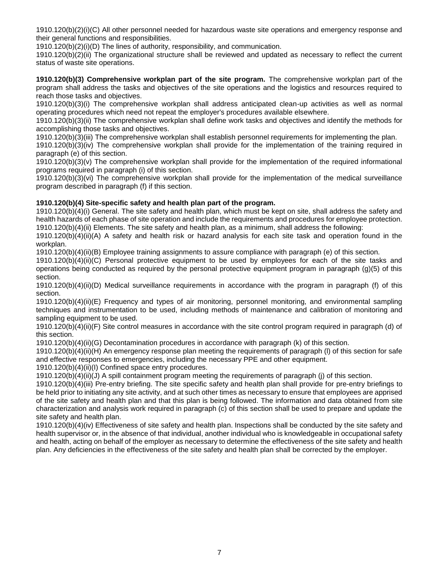1910.120(b)(2)(i)(C) All other personnel needed for hazardous waste site operations and emergency response and their general functions and responsibilities.

1910.120(b)(2)(i)(D) The lines of authority, responsibility, and communication.

1910.120(b)(2)(ii) The organizational structure shall be reviewed and updated as necessary to reflect the current status of waste site operations.

**1910.120(b)(3) Comprehensive workplan part of the site program.** The comprehensive workplan part of the program shall address the tasks and objectives of the site operations and the logistics and resources required to reach those tasks and objectives.

1910.120(b)(3)(i) The comprehensive workplan shall address anticipated clean-up activities as well as normal operating procedures which need not repeat the employer's procedures available elsewhere.

1910.120(b)(3)(ii) The comprehensive workplan shall define work tasks and objectives and identify the methods for accomplishing those tasks and objectives.

1910.120(b)(3)(iii) The comprehensive workplan shall establish personnel requirements for implementing the plan.

1910.120(b)(3)(iv) The comprehensive workplan shall provide for the implementation of the training required in paragraph (e) of this section.

1910.120(b)(3)(v) The comprehensive workplan shall provide for the implementation of the required informational programs required in paragraph (i) of this section.

1910.120(b)(3)(vi) The comprehensive workplan shall provide for the implementation of the medical surveillance program described in paragraph (f) if this section.

#### **1910.120(b)(4) Site-specific safety and health plan part of the program.**

1910.120(b)(4)(i) General. The site safety and health plan, which must be kept on site, shall address the safety and health hazards of each phase of site operation and include the requirements and procedures for employee protection. 1910.120(b)(4)(ii) Elements. The site safety and health plan, as a minimum, shall address the following:

1910.120(b)(4)(ii)(A) A safety and health risk or hazard analysis for each site task and operation found in the workplan.

1910.120(b)(4)(ii)(B) Employee training assignments to assure compliance with paragraph (e) of this section.

1910.120(b)(4)(ii)(C) Personal protective equipment to be used by employees for each of the site tasks and operations being conducted as required by the personal protective equipment program in paragraph (g)(5) of this section.

1910.120(b)(4)(ii)(D) Medical surveillance requirements in accordance with the program in paragraph (f) of this section.

1910.120(b)(4)(ii)(E) Frequency and types of air monitoring, personnel monitoring, and environmental sampling techniques and instrumentation to be used, including methods of maintenance and calibration of monitoring and sampling equipment to be used.

1910.120(b)(4)(ii)(F) Site control measures in accordance with the site control program required in paragraph (d) of this section.

1910.120(b)(4)(ii)(G) Decontamination procedures in accordance with paragraph (k) of this section.

1910.120(b)(4)(ii)(H) An emergency response plan meeting the requirements of paragraph (l) of this section for safe and effective responses to emergencies, including the necessary PPE and other equipment.

1910.120(b)(4)(ii)(I) Confined space entry procedures.

1910.120(b)(4)(ii)(J) A spill containment program meeting the requirements of paragraph (j) of this section.

1910.120(b)(4)(iii) Pre-entry briefing. The site specific safety and health plan shall provide for pre-entry briefings to be held prior to initiating any site activity, and at such other times as necessary to ensure that employees are apprised of the site safety and health plan and that this plan is being followed. The information and data obtained from site characterization and analysis work required in paragraph (c) of this section shall be used to prepare and update the site safety and health plan.

1910.120(b)(4)(iv) Effectiveness of site safety and health plan. Inspections shall be conducted by the site safety and health supervisor or, in the absence of that individual, another individual who is knowledgeable in occupational safety and health, acting on behalf of the employer as necessary to determine the effectiveness of the site safety and health plan. Any deficiencies in the effectiveness of the site safety and health plan shall be corrected by the employer.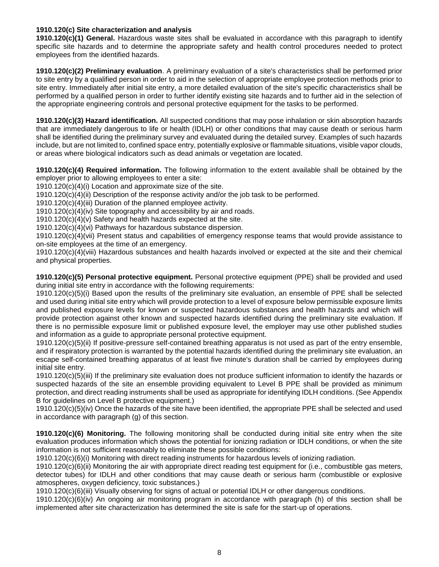#### <span id="page-7-0"></span>**1910.120(c) Site characterization and analysis**

**1910.120(c)(1) General.** Hazardous waste sites shall be evaluated in accordance with this paragraph to identify specific site hazards and to determine the appropriate safety and health control procedures needed to protect employees from the identified hazards.

**1910.120(c)(2) Preliminary evaluation**. A preliminary evaluation of a site's characteristics shall be performed prior to site entry by a qualified person in order to aid in the selection of appropriate employee protection methods prior to site entry. Immediately after initial site entry, a more detailed evaluation of the site's specific characteristics shall be performed by a qualified person in order to further identify existing site hazards and to further aid in the selection of the appropriate engineering controls and personal protective equipment for the tasks to be performed.

**1910.120(c)(3) Hazard identification.** All suspected conditions that may pose inhalation or skin absorption hazards that are immediately dangerous to life or health (IDLH) or other conditions that may cause death or serious harm shall be identified during the preliminary survey and evaluated during the detailed survey. Examples of such hazards include, but are not limited to, confined space entry, potentially explosive or flammable situations, visible vapor clouds, or areas where biological indicators such as dead animals or vegetation are located.

**1910.120(c)(4) Required information.** The following information to the extent available shall be obtained by the employer prior to allowing employees to enter a site:

1910.120(c)(4)(i) Location and approximate size of the site.

1910.120(c)(4)(ii) Description of the response activity and/or the job task to be performed.

1910.120(c)(4)(iii) Duration of the planned employee activity.

1910.120(c)(4)(iv) Site topography and accessibility by air and roads.

1910.120(c)(4)(v) Safety and health hazards expected at the site.

1910.120(c)(4)(vi) Pathways for hazardous substance dispersion.

1910.120(c)(4)(vii) Present status and capabilities of emergency response teams that would provide assistance to on-site employees at the time of an emergency.

1910.120(c)(4)(viii) Hazardous substances and health hazards involved or expected at the site and their chemical and physical properties.

**1910.120(c)(5) Personal protective equipment.** Personal protective equipment (PPE) shall be provided and used during initial site entry in accordance with the following requirements:

1910.120(c)(5)(i) Based upon the results of the preliminary site evaluation, an ensemble of PPE shall be selected and used during initial site entry which will provide protection to a level of exposure below permissible exposure limits and published exposure levels for known or suspected hazardous substances and health hazards and which will provide protection against other known and suspected hazards identified during the preliminary site evaluation. If there is no permissible exposure limit or published exposure level, the employer may use other published studies and information as a guide to appropriate personal protective equipment.

1910.120(c)(5)(ii) If positive-pressure self-contained breathing apparatus is not used as part of the entry ensemble, and if respiratory protection is warranted by the potential hazards identified during the preliminary site evaluation, an escape self-contained breathing apparatus of at least five minute's duration shall be carried by employees during initial site entry.

1910.120(c)(5)(iii) If the preliminary site evaluation does not produce sufficient information to identify the hazards or suspected hazards of the site an ensemble providing equivalent to Level B PPE shall be provided as minimum protection, and direct reading instruments shall be used as appropriate for identifying IDLH conditions. (See Appendix B for guidelines on Level B protective equipment.)

1910.120(c)(5)(iv) Once the hazards of the site have been identified, the appropriate PPE shall be selected and used in accordance with paragraph (g) of this section.

**1910.120(c)(6) Monitoring.** The following monitoring shall be conducted during initial site entry when the site evaluation produces information which shows the potential for ionizing radiation or IDLH conditions, or when the site information is not sufficient reasonably to eliminate these possible conditions:

1910.120(c)(6)(i) Monitoring with direct reading instruments for hazardous levels of ionizing radiation.

 $1910.120(c)(6)$ (ii) Monitoring the air with appropriate direct reading test equipment for (i.e., combustible gas meters, detector tubes) for IDLH and other conditions that may cause death or serious harm (combustible or explosive atmospheres, oxygen deficiency, toxic substances.)

1910.120(c)(6)(iii) Visually observing for signs of actual or potential IDLH or other dangerous conditions.

1910.120(c)(6)(iv) An ongoing air monitoring program in accordance with paragraph (h) of this section shall be implemented after site characterization has determined the site is safe for the start-up of operations.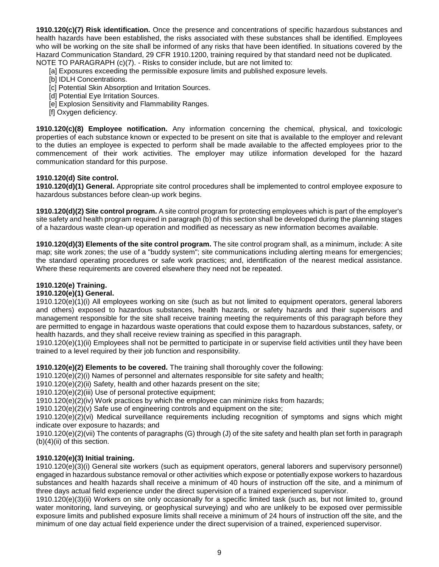**1910.120(c)(7) Risk identification.** Once the presence and concentrations of specific hazardous substances and health hazards have been established, the risks associated with these substances shall be identified. Employees who will be working on the site shall be informed of any risks that have been identified. In situations covered by the Hazard Communication Standard, 29 CFR 1910.1200, training required by that standard need not be duplicated. NOTE TO PARAGRAPH (c)(7). - Risks to consider include, but are not limited to:

- [a] Exposures exceeding the permissible exposure limits and published exposure levels.
- [b] IDLH Concentrations.
- [c] Potential Skin Absorption and Irritation Sources.
- [d] Potential Eye Irritation Sources.
- [e] Explosion Sensitivity and Flammability Ranges.
- [f] Oxygen deficiency.

**1910.120(c)(8) Employee notification.** Any information concerning the chemical, physical, and toxicologic properties of each substance known or expected to be present on site that is available to the employer and relevant to the duties an employee is expected to perform shall be made available to the affected employees prior to the commencement of their work activities. The employer may utilize information developed for the hazard communication standard for this purpose.

#### <span id="page-8-0"></span>**1910.120(d) Site control.**

**1910.120(d)(1) General.** Appropriate site control procedures shall be implemented to control employee exposure to hazardous substances before clean-up work begins.

**1910.120(d)(2) Site control program.** A site control program for protecting employees which is part of the employer's site safety and health program required in paragraph (b) of this section shall be developed during the planning stages of a hazardous waste clean-up operation and modified as necessary as new information becomes available.

**1910.120(d)(3) Elements of the site control program.** The site control program shall, as a minimum, include: A site map; site work zones; the use of a "buddy system"; site communications including alerting means for emergencies; the standard operating procedures or safe work practices; and, identification of the nearest medical assistance. Where these requirements are covered elsewhere they need not be repeated.

## <span id="page-8-1"></span>**1910.120(e) Training.**

#### **1910.120(e)(1) General.**

1910.120(e)(1)(i) All employees working on site (such as but not limited to equipment operators, general laborers and others) exposed to hazardous substances, health hazards, or safety hazards and their supervisors and management responsible for the site shall receive training meeting the requirements of this paragraph before they are permitted to engage in hazardous waste operations that could expose them to hazardous substances, safety, or health hazards, and they shall receive review training as specified in this paragraph.

1910.120(e)(1)(ii) Employees shall not be permitted to participate in or supervise field activities until they have been trained to a level required by their job function and responsibility.

**1910.120(e)(2) Elements to be covered.** The training shall thoroughly cover the following:

1910.120(e)(2)(i) Names of personnel and alternates responsible for site safety and health;

1910.120(e)(2)(ii) Safety, health and other hazards present on the site;

1910.120(e)(2)(iii) Use of personal protective equipment;

1910.120(e)(2)(iv) Work practices by which the employee can minimize risks from hazards;

1910.120(e)(2)(v) Safe use of engineering controls and equipment on the site;

1910.120(e)(2)(vi) Medical surveillance requirements including recognition of symptoms and signs which might indicate over exposure to hazards; and

1910.120(e)(2)(vii) The contents of paragraphs (G) through (J) of the site safety and health plan set forth in paragraph  $(b)(4)(ii)$  of this section.

#### **1910.120(e)(3) Initial training.**

1910.120(e)(3)(i) General site workers (such as equipment operators, general laborers and supervisory personnel) engaged in hazardous substance removal or other activities which expose or potentially expose workers to hazardous substances and health hazards shall receive a minimum of 40 hours of instruction off the site, and a minimum of three days actual field experience under the direct supervision of a trained experienced supervisor.

1910.120(e)(3)(ii) Workers on site only occasionally for a specific limited task (such as, but not limited to, ground water monitoring, land surveying, or geophysical surveying) and who are unlikely to be exposed over permissible exposure limits and published exposure limits shall receive a minimum of 24 hours of instruction off the site, and the minimum of one day actual field experience under the direct supervision of a trained, experienced supervisor.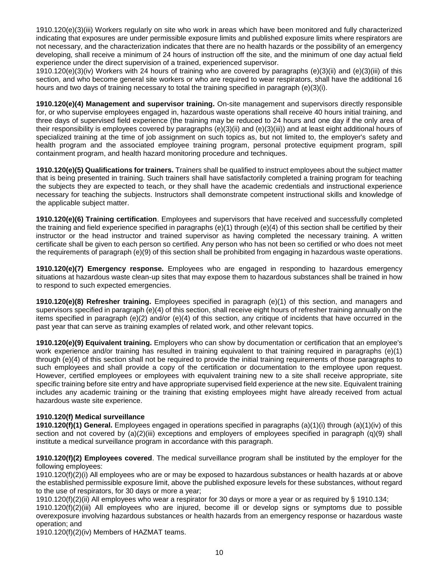1910.120(e)(3)(iii) Workers regularly on site who work in areas which have been monitored and fully characterized indicating that exposures are under permissible exposure limits and published exposure limits where respirators are not necessary, and the characterization indicates that there are no health hazards or the possibility of an emergency developing, shall receive a minimum of 24 hours of instruction off the site, and the minimum of one day actual field experience under the direct supervision of a trained, experienced supervisor.

1910.120(e)(3)(iv) Workers with 24 hours of training who are covered by paragraphs (e)(3)(ii) and (e)(3)(iii) of this section, and who become general site workers or who are required to wear respirators, shall have the additional 16 hours and two days of training necessary to total the training specified in paragraph (e)(3)(i).

**1910.120(e)(4) Management and supervisor training.** On-site management and supervisors directly responsible for, or who supervise employees engaged in, hazardous waste operations shall receive 40 hours initial training, and three days of supervised field experience (the training may be reduced to 24 hours and one day if the only area of their responsibility is employees covered by paragraphs (e)(3)(ii) and (e)(3)(iii)) and at least eight additional hours of specialized training at the time of job assignment on such topics as, but not limited to, the employer's safety and health program and the associated employee training program, personal protective equipment program, spill containment program, and health hazard monitoring procedure and techniques.

**1910.120(e)(5) Qualifications for trainers.** Trainers shall be qualified to instruct employees about the subject matter that is being presented in training. Such trainers shall have satisfactorily completed a training program for teaching the subjects they are expected to teach, or they shall have the academic credentials and instructional experience necessary for teaching the subjects. Instructors shall demonstrate competent instructional skills and knowledge of the applicable subject matter.

**1910.120(e)(6) Training certification**. Employees and supervisors that have received and successfully completed the training and field experience specified in paragraphs (e)(1) through (e)(4) of this section shall be certified by their instructor or the head instructor and trained supervisor as having completed the necessary training. A written certificate shall be given to each person so certified. Any person who has not been so certified or who does not meet the requirements of paragraph (e)(9) of this section shall be prohibited from engaging in hazardous waste operations.

**1910.120(e)(7) Emergency response.** Employees who are engaged in responding to hazardous emergency situations at hazardous waste clean-up sites that may expose them to hazardous substances shall be trained in how to respond to such expected emergencies.

**1910.120(e)(8) Refresher training.** Employees specified in paragraph (e)(1) of this section, and managers and supervisors specified in paragraph (e)(4) of this section, shall receive eight hours of refresher training annually on the items specified in paragraph (e)(2) and/or (e)(4) of this section, any critique of incidents that have occurred in the past year that can serve as training examples of related work, and other relevant topics.

**1910.120(e)(9) Equivalent training.** Employers who can show by documentation or certification that an employee's work experience and/or training has resulted in training equivalent to that training required in paragraphs (e)(1) through (e)(4) of this section shall not be required to provide the initial training requirements of those paragraphs to such employees and shall provide a copy of the certification or documentation to the employee upon request. However, certified employees or employees with equivalent training new to a site shall receive appropriate, site specific training before site entry and have appropriate supervised field experience at the new site. Equivalent training includes any academic training or the training that existing employees might have already received from actual hazardous waste site experience.

## <span id="page-9-0"></span>**1910.120(f) Medical surveillance**

**1910.120(f)(1) General.** Employees engaged in operations specified in paragraphs (a)(1)(i) through (a)(1)(iv) of this section and not covered by (a)(2)(iii) exceptions and employers of employees specified in paragraph (q)(9) shall institute a medical surveillance program in accordance with this paragraph.

**1910.120(f)(2) Employees covered**. The medical surveillance program shall be instituted by the employer for the following employees:

1910.120(f)(2)(i) All employees who are or may be exposed to hazardous substances or health hazards at or above the established permissible exposure limit, above the published exposure levels for these substances, without regard to the use of respirators, for 30 days or more a year;

1910.120(f)(2)(ii) All employees who wear a respirator for 30 days or more a year or as required by § 1910.134;

1910.120(f)(2)(iii) All employees who are injured, become ill or develop signs or symptoms due to possible overexposure involving hazardous substances or health hazards from an emergency response or hazardous waste operation; and

1910.120(f)(2)(iv) Members of HAZMAT teams.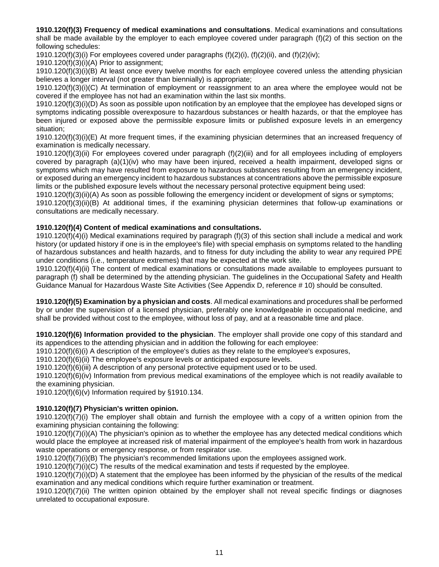**1910.120(f)(3) Frequency of medical examinations and consultations**. Medical examinations and consultations shall be made available by the employer to each employee covered under paragraph (f)(2) of this section on the following schedules:

1910.120(f)(3)(i) For employees covered under paragraphs (f)(2)(i), (f)(2)(ii), and (f)(2)(iv);

1910.120(f)(3)(i)(A) Prior to assignment;

1910.120(f)(3)(i)(B) At least once every twelve months for each employee covered unless the attending physician believes a longer interval (not greater than biennially) is appropriate;

1910.120(f)(3)(i)(C) At termination of employment or reassignment to an area where the employee would not be covered if the employee has not had an examination within the last six months.

1910.120(f)(3)(i)(D) As soon as possible upon notification by an employee that the employee has developed signs or symptoms indicating possible overexposure to hazardous substances or health hazards, or that the employee has been injured or exposed above the permissible exposure limits or published exposure levels in an emergency situation;

1910.120(f)(3)(i)(E) At more frequent times, if the examining physician determines that an increased frequency of examination is medically necessary.

1910.120(f)(3)(ii) For employees covered under paragraph (f)(2)(iii) and for all employees including of employers covered by paragraph (a)(1)(iv) who may have been injured, received a health impairment, developed signs or symptoms which may have resulted from exposure to hazardous substances resulting from an emergency incident, or exposed during an emergency incident to hazardous substances at concentrations above the permissible exposure limits or the published exposure levels without the necessary personal protective equipment being used:

1910.120(f)(3)(ii)(A) As soon as possible following the emergency incident or development of signs or symptoms; 1910.120(f)(3)(ii)(B) At additional times, if the examining physician determines that follow-up examinations or consultations are medically necessary.

#### **1910.120(f)(4) Content of medical examinations and consultations.**

1910.120(f)(4)(i) Medical examinations required by paragraph (f)(3) of this section shall include a medical and work history (or updated history if one is in the employee's file) with special emphasis on symptoms related to the handling of hazardous substances and health hazards, and to fitness for duty including the ability to wear any required PPE under conditions (i.e., temperature extremes) that may be expected at the work site.

1910.120(f)(4)(ii) The content of medical examinations or consultations made available to employees pursuant to paragraph (f) shall be determined by the attending physician. The guidelines in the Occupational Safety and Health Guidance Manual for Hazardous Waste Site Activities (See Appendix D, reference # 10) should be consulted.

**1910.120(f)(5) Examination by a physician and costs**. All medical examinations and procedures shall be performed by or under the supervision of a licensed physician, preferably one knowledgeable in occupational medicine, and shall be provided without cost to the employee, without loss of pay, and at a reasonable time and place.

**1910.120(f)(6) Information provided to the physician**. The employer shall provide one copy of this standard and its appendices to the attending physician and in addition the following for each employee:

1910.120(f)(6)(i) A description of the employee's duties as they relate to the employee's exposures,

1910.120(f)(6)(ii) The employee's exposure levels or anticipated exposure levels.

1910.120(f)(6)(iii) A description of any personal protective equipment used or to be used.

1910.120(f)(6)(iv) Information from previous medical examinations of the employee which is not readily available to the examining physician.

1910.120(f)(6)(v) Information required by §1910.134.

## **1910.120(f)(7) Physician's written opinion.**

1910.120(f)(7)(i) The employer shall obtain and furnish the employee with a copy of a written opinion from the examining physician containing the following:

1910.120(f)(7)(i)(A) The physician's opinion as to whether the employee has any detected medical conditions which would place the employee at increased risk of material impairment of the employee's health from work in hazardous waste operations or emergency response, or from respirator use.

1910.120(f)(7)(i)(B) The physician's recommended limitations upon the employees assigned work.

1910.120(f)(7)(i)(C) The results of the medical examination and tests if requested by the employee.

1910.120(f)(7)(i)(D) A statement that the employee has been informed by the physician of the results of the medical examination and any medical conditions which require further examination or treatment.

1910.120(f)(7)(ii) The written opinion obtained by the employer shall not reveal specific findings or diagnoses unrelated to occupational exposure.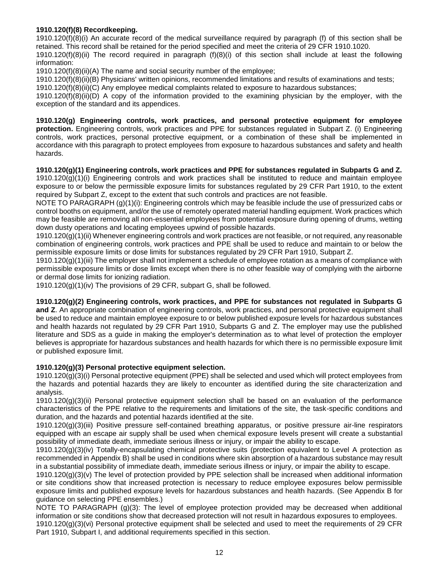#### **1910.120(f)(8) Recordkeeping.**

1910.120(f)(8)(i) An accurate record of the medical surveillance required by paragraph (f) of this section shall be retained. This record shall be retained for the period specified and meet the criteria of 29 CFR 1910.1020. 1910.120(f)(8)(ii) The record required in paragraph (f)(8)(i) of this section shall include at least the following

information: 1910.120(f)(8)(ii)(A) The name and social security number of the employee;

1910.120(f)(8)(ii)(B) Physicians' written opinions, recommended limitations and results of examinations and tests;

1910.120(f)(8)(ii)(C) Any employee medical complaints related to exposure to hazardous substances;

1910.120(f)(8)(ii)(D) A copy of the information provided to the examining physician by the employer, with the exception of the standard and its appendices.

<span id="page-11-0"></span>**1910.120(g) Engineering controls, work practices, and personal protective equipment for employee protection.** Engineering controls, work practices and PPE for substances regulated in Subpart Z. (i) Engineering controls, work practices, personal protective equipment, or a combination of these shall be implemented in accordance with this paragraph to protect employees from exposure to hazardous substances and safety and health hazards.

#### **1910.120(g)(1) Engineering controls, work practices and PPE for substances regulated in Subparts G and Z.**

1910.120(g)(1)(i) Engineering controls and work practices shall be instituted to reduce and maintain employee exposure to or below the permissible exposure limits for substances regulated by 29 CFR Part 1910, to the extent required by Subpart Z, except to the extent that such controls and practices are not feasible.

NOTE TO PARAGRAPH (g)(1)(i): Engineering controls which may be feasible include the use of pressurized cabs or control booths on equipment, and/or the use of remotely operated material handling equipment. Work practices which may be feasible are removing all non-essential employees from potential exposure during opening of drums, wetting down dusty operations and locating employees upwind of possible hazards.

1910.120(g)(1)(ii) Whenever engineering controls and work practices are not feasible, or not required, any reasonable combination of engineering controls, work practices and PPE shall be used to reduce and maintain to or below the permissible exposure limits or dose limits for substances regulated by 29 CFR Part 1910, Subpart Z.

1910.120(g)(1)(iii) The employer shall not implement a schedule of employee rotation as a means of compliance with permissible exposure limits or dose limits except when there is no other feasible way of complying with the airborne or dermal dose limits for ionizing radiation.

1910.120(g)(1)(iv) The provisions of 29 CFR, subpart G, shall be followed.

#### **1910.120(g)(2) Engineering controls, work practices, and PPE for substances not regulated in Subparts G**

**and Z**. An appropriate combination of engineering controls, work practices, and personal protective equipment shall be used to reduce and maintain employee exposure to or below published exposure levels for hazardous substances and health hazards not regulated by 29 CFR Part 1910, Subparts G and Z. The employer may use the published literature and SDS as a guide in making the employer's determination as to what level of protection the employer believes is appropriate for hazardous substances and health hazards for which there is no permissible exposure limit or published exposure limit.

#### **1910.120(g)(3) Personal protective equipment selection.**

1910.120(g)(3)(i) Personal protective equipment (PPE) shall be selected and used which will protect employees from the hazards and potential hazards they are likely to encounter as identified during the site characterization and analysis.

1910.120(g)(3)(ii) Personal protective equipment selection shall be based on an evaluation of the performance characteristics of the PPE relative to the requirements and limitations of the site, the task-specific conditions and duration, and the hazards and potential hazards identified at the site.

1910.120(g)(3)(iii) Positive pressure self-contained breathing apparatus, or positive pressure air-line respirators equipped with an escape air supply shall be used when chemical exposure levels present will create a substantial possibility of immediate death, immediate serious illness or injury, or impair the ability to escape.

1910.120(g)(3)(iv) Totally-encapsulating chemical protective suits (protection equivalent to Level A protection as recommended in Appendix B) shall be used in conditions where skin absorption of a hazardous substance may result in a substantial possibility of immediate death, immediate serious illness or injury, or impair the ability to escape.

1910.120(g)(3)(v) The level of protection provided by PPE selection shall be increased when additional information or site conditions show that increased protection is necessary to reduce employee exposures below permissible exposure limits and published exposure levels for hazardous substances and health hazards. (See Appendix B for guidance on selecting PPE ensembles.)

NOTE TO PARAGRAPH (g)(3): The level of employee protection provided may be decreased when additional information or site conditions show that decreased protection will not result in hazardous exposures to employees. 1910.120(g)(3)(vi) Personal protective equipment shall be selected and used to meet the requirements of 29 CFR Part 1910, Subpart I, and additional requirements specified in this section.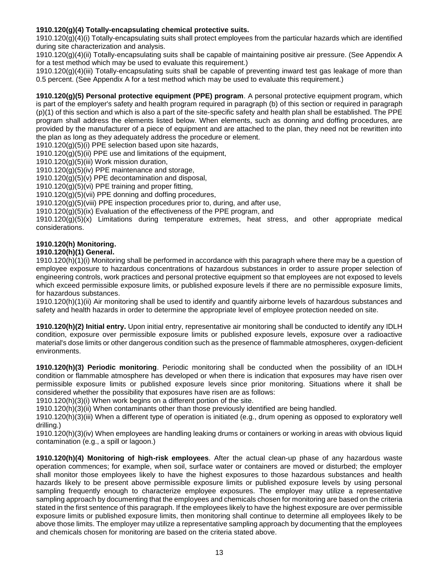## **1910.120(g)(4) Totally-encapsulating chemical protective suits.**

1910.120(g)(4)(i) Totally-encapsulating suits shall protect employees from the particular hazards which are identified during site characterization and analysis.

1910.120(g)(4)(ii) Totally-encapsulating suits shall be capable of maintaining positive air pressure. (See Appendix A for a test method which may be used to evaluate this requirement.)

1910.120(g)(4)(iii) Totally-encapsulating suits shall be capable of preventing inward test gas leakage of more than 0.5 percent. (See Appendix A for a test method which may be used to evaluate this requirement.)

**1910.120(g)(5) Personal protective equipment (PPE) program**. A personal protective equipment program, which is part of the employer's safety and health program required in paragraph (b) of this section or required in paragraph (p)(1) of this section and which is also a part of the site-specific safety and health plan shall be established. The PPE program shall address the elements listed below. When elements, such as donning and doffing procedures, are provided by the manufacturer of a piece of equipment and are attached to the plan, they need not be rewritten into the plan as long as they adequately address the procedure or element.

 $1910.120(g)(5)(i)$  PPE selection based upon site hazards,

1910.120(g)(5)(ii) PPE use and limitations of the equipment,

1910.120(g)(5)(iii) Work mission duration,

1910.120(g)(5)(iv) PPE maintenance and storage,

1910.120(g)(5)(v) PPE decontamination and disposal,

1910.120(g)(5)(vi) PPE training and proper fitting,

1910.120(g)(5)(vii) PPE donning and doffing procedures,

1910.120(g)(5)(viii) PPE inspection procedures prior to, during, and after use,

1910.120(g)(5)(ix) Evaluation of the effectiveness of the PPE program, and

1910.120(g)(5)(x) Limitations during temperature extremes, heat stress, and other appropriate medical considerations.

## <span id="page-12-0"></span>**1910.120(h) Monitoring.**

#### **1910.120(h)(1) General.**

1910.120(h)(1)(i) Monitoring shall be performed in accordance with this paragraph where there may be a question of employee exposure to hazardous concentrations of hazardous substances in order to assure proper selection of engineering controls, work practices and personal protective equipment so that employees are not exposed to levels which exceed permissible exposure limits, or published exposure levels if there are no permissible exposure limits, for hazardous substances.

1910.120(h)(1)(ii) Air monitoring shall be used to identify and quantify airborne levels of hazardous substances and safety and health hazards in order to determine the appropriate level of employee protection needed on site.

**1910.120(h)(2) Initial entry.** Upon initial entry, representative air monitoring shall be conducted to identify any IDLH condition, exposure over permissible exposure limits or published exposure levels, exposure over a radioactive material's dose limits or other dangerous condition such as the presence of flammable atmospheres, oxygen-deficient environments.

**1910.120(h)(3) Periodic monitoring**. Periodic monitoring shall be conducted when the possibility of an IDLH condition or flammable atmosphere has developed or when there is indication that exposures may have risen over permissible exposure limits or published exposure levels since prior monitoring. Situations where it shall be considered whether the possibility that exposures have risen are as follows:

1910.120(h)(3)(i) When work begins on a different portion of the site.

1910.120(h)(3)(ii) When contaminants other than those previously identified are being handled.

1910.120(h)(3)(iii) When a different type of operation is initiated (e.g., drum opening as opposed to exploratory well drilling.)

1910.120(h)(3)(iv) When employees are handling leaking drums or containers or working in areas with obvious liquid contamination (e.g., a spill or lagoon.)

**1910.120(h)(4) Monitoring of high-risk employees**. After the actual clean-up phase of any hazardous waste operation commences; for example, when soil, surface water or containers are moved or disturbed; the employer shall monitor those employees likely to have the highest exposures to those hazardous substances and health hazards likely to be present above permissible exposure limits or published exposure levels by using personal sampling frequently enough to characterize employee exposures. The employer may utilize a representative sampling approach by documenting that the employees and chemicals chosen for monitoring are based on the criteria stated in the first sentence of this paragraph. If the employees likely to have the highest exposure are over permissible exposure limits or published exposure limits, then monitoring shall continue to determine all employees likely to be above those limits. The employer may utilize a representative sampling approach by documenting that the employees and chemicals chosen for monitoring are based on the criteria stated above.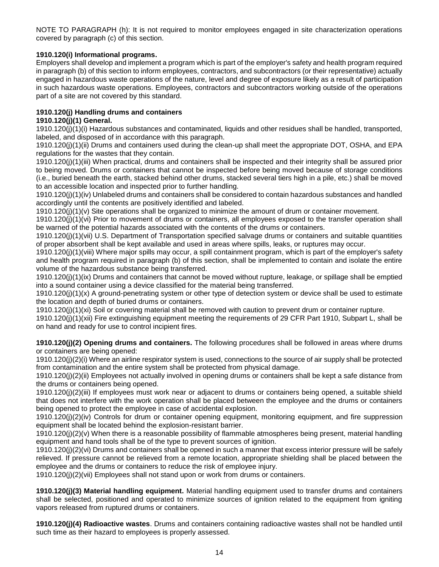NOTE TO PARAGRAPH (h): It is not required to monitor employees engaged in site characterization operations covered by paragraph (c) of this section.

## <span id="page-13-0"></span>**1910.120(i) Informational programs.**

Employers shall develop and implement a program which is part of the employer's safety and health program required in paragraph (b) of this section to inform employees, contractors, and subcontractors (or their representative) actually engaged in hazardous waste operations of the nature, level and degree of exposure likely as a result of participation in such hazardous waste operations. Employees, contractors and subcontractors working outside of the operations part of a site are not covered by this standard.

## **1910.120(j) Handling drums and containers**

## <span id="page-13-1"></span>**1910.120(j)(1) General.**

1910.120(j)(1)(i) Hazardous substances and contaminated, liquids and other residues shall be handled, transported, labeled, and disposed of in accordance with this paragraph.

1910.120(j)(1)(ii) Drums and containers used during the clean-up shall meet the appropriate DOT, OSHA, and EPA regulations for the wastes that they contain.

1910.120(j)(1)(iii) When practical, drums and containers shall be inspected and their integrity shall be assured prior to being moved. Drums or containers that cannot be inspected before being moved because of storage conditions (i.e., buried beneath the earth, stacked behind other drums, stacked several tiers high in a pile, etc.) shall be moved to an accessible location and inspected prior to further handling.

1910.120(j)(1)(iv) Unlabeled drums and containers shall be considered to contain hazardous substances and handled accordingly until the contents are positively identified and labeled.

1910.120(j)(1)(v) Site operations shall be organized to minimize the amount of drum or container movement.

1910.120(j)(1)(vi) Prior to movement of drums or containers, all employees exposed to the transfer operation shall be warned of the potential hazards associated with the contents of the drums or containers.

1910.120(j)(1)(vii) U.S. Department of Transportation specified salvage drums or containers and suitable quantities of proper absorbent shall be kept available and used in areas where spills, leaks, or ruptures may occur.

1910.120(j)(1)(viii) Where major spills may occur, a spill containment program, which is part of the employer's safety and health program required in paragraph (b) of this section, shall be implemented to contain and isolate the entire volume of the hazardous substance being transferred.

1910.120(j)(1)(ix) Drums and containers that cannot be moved without rupture, leakage, or spillage shall be emptied into a sound container using a device classified for the material being transferred.

1910.120(j)(1)(x) A ground-penetrating system or other type of detection system or device shall be used to estimate the location and depth of buried drums or containers.

1910.120(j)(1)(xi) Soil or covering material shall be removed with caution to prevent drum or container rupture.

1910.120(j)(1)(xii) Fire extinguishing equipment meeting the requirements of 29 CFR Part 1910, Subpart L, shall be on hand and ready for use to control incipient fires.

**1910.120(j)(2) Opening drums and containers.** The following procedures shall be followed in areas where drums or containers are being opened:

1910.120(j)(2)(i) Where an airline respirator system is used, connections to the source of air supply shall be protected from contamination and the entire system shall be protected from physical damage.

1910.120(j)(2)(ii) Employees not actually involved in opening drums or containers shall be kept a safe distance from the drums or containers being opened.

1910.120(j)(2)(iii) If employees must work near or adjacent to drums or containers being opened, a suitable shield that does not interfere with the work operation shall be placed between the employee and the drums or containers being opened to protect the employee in case of accidental explosion.

1910.120(j)(2)(iv) Controls for drum or container opening equipment, monitoring equipment, and fire suppression equipment shall be located behind the explosion-resistant barrier.

1910.120(j)(2)(v) When there is a reasonable possibility of flammable atmospheres being present, material handling equipment and hand tools shall be of the type to prevent sources of ignition.

1910.120(j)(2)(vi) Drums and containers shall be opened in such a manner that excess interior pressure will be safely relieved. If pressure cannot be relieved from a remote location, appropriate shielding shall be placed between the employee and the drums or containers to reduce the risk of employee injury.

1910.120(j)(2)(vii) Employees shall not stand upon or work from drums or containers.

**1910.120(j)(3) Material handling equipment.** Material handling equipment used to transfer drums and containers shall be selected, positioned and operated to minimize sources of ignition related to the equipment from igniting vapors released from ruptured drums or containers.

**1910.120(j)(4) Radioactive wastes**. Drums and containers containing radioactive wastes shall not be handled until such time as their hazard to employees is properly assessed.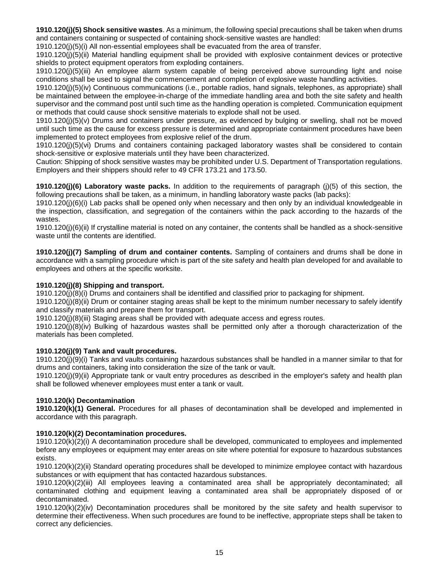**1910.120(j)(5) Shock sensitive wastes**. As a minimum, the following special precautions shall be taken when drums and containers containing or suspected of containing shock-sensitive wastes are handled:

1910.120(j)(5)(i) All non-essential employees shall be evacuated from the area of transfer.

1910.120(j)(5)(ii) Material handling equipment shall be provided with explosive containment devices or protective shields to protect equipment operators from exploding containers.

1910.120(j)(5)(iii) An employee alarm system capable of being perceived above surrounding light and noise conditions shall be used to signal the commencement and completion of explosive waste handling activities.

1910.120(j)(5)(iv) Continuous communications (i.e., portable radios, hand signals, telephones, as appropriate) shall be maintained between the employee-in-charge of the immediate handling area and both the site safety and health supervisor and the command post until such time as the handling operation is completed. Communication equipment or methods that could cause shock sensitive materials to explode shall not be used.

1910.120(j)(5)(v) Drums and containers under pressure, as evidenced by bulging or swelling, shall not be moved until such time as the cause for excess pressure is determined and appropriate containment procedures have been implemented to protect employees from explosive relief of the drum.

1910.120(j)(5)(vi) Drums and containers containing packaged laboratory wastes shall be considered to contain shock-sensitive or explosive materials until they have been characterized.

Caution: Shipping of shock sensitive wastes may be prohibited under U.S. Department of Transportation regulations. Employers and their shippers should refer to 49 CFR 173.21 and 173.50.

**1910.120(j)(6) Laboratory waste packs.** In addition to the requirements of paragraph (j)(5) of this section, the following precautions shall be taken, as a minimum, in handling laboratory waste packs (lab packs):

1910.120(j)(6)(i) Lab packs shall be opened only when necessary and then only by an individual knowledgeable in the inspection, classification, and segregation of the containers within the pack according to the hazards of the wastes.

 $1910.120(j)(6)(ii)$  If crystalline material is noted on any container, the contents shall be handled as a shock-sensitive waste until the contents are identified.

**1910.120(j)(7) Sampling of drum and container contents.** Sampling of containers and drums shall be done in accordance with a sampling procedure which is part of the site safety and health plan developed for and available to employees and others at the specific worksite.

#### **1910.120(j)(8) Shipping and transport.**

1910.120(j)(8)(i) Drums and containers shall be identified and classified prior to packaging for shipment.

1910.120(j)(8)(ii) Drum or container staging areas shall be kept to the minimum number necessary to safely identify and classify materials and prepare them for transport.

1910.120(j)(8)(iii) Staging areas shall be provided with adequate access and egress routes.

1910.120(j)(8)(iv) Bulking of hazardous wastes shall be permitted only after a thorough characterization of the materials has been completed.

#### **1910.120(j)(9) Tank and vault procedures.**

1910.120(j)(9)(i) Tanks and vaults containing hazardous substances shall be handled in a manner similar to that for drums and containers, taking into consideration the size of the tank or vault.

1910.120(j)(9)(ii) Appropriate tank or vault entry procedures as described in the employer's safety and health plan shall be followed whenever employees must enter a tank or vault.

## <span id="page-14-0"></span>**1910.120(k) Decontamination**

**1910.120(k)(1) General.** Procedures for all phases of decontamination shall be developed and implemented in accordance with this paragraph.

#### **1910.120(k)(2) Decontamination procedures.**

1910.120(k)(2)(i) A decontamination procedure shall be developed, communicated to employees and implemented before any employees or equipment may enter areas on site where potential for exposure to hazardous substances exists.

1910.120(k)(2)(ii) Standard operating procedures shall be developed to minimize employee contact with hazardous substances or with equipment that has contacted hazardous substances.

1910.120(k)(2)(iii) All employees leaving a contaminated area shall be appropriately decontaminated; all contaminated clothing and equipment leaving a contaminated area shall be appropriately disposed of or decontaminated.

1910.120(k)(2)(iv) Decontamination procedures shall be monitored by the site safety and health supervisor to determine their effectiveness. When such procedures are found to be ineffective, appropriate steps shall be taken to correct any deficiencies.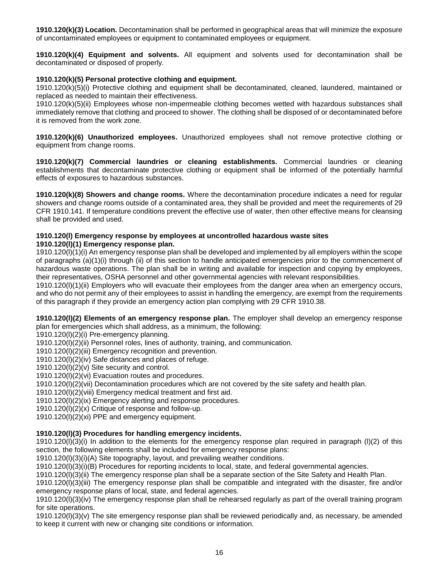**1910.120(k)(3) Location.** Decontamination shall be performed in geographical areas that will minimize the exposure of uncontaminated employees or equipment to contaminated employees or equipment.

**1910.120(k)(4) Equipment and solvents.** All equipment and solvents used for decontamination shall be decontaminated or disposed of properly.

## **1910.120(k)(5) Personal protective clothing and equipment.**

1910.120(k)(5)(i) Protective clothing and equipment shall be decontaminated, cleaned, laundered, maintained or replaced as needed to maintain their effectiveness.

1910.120(k)(5)(ii) Employees whose non-impermeable clothing becomes wetted with hazardous substances shall immediately remove that clothing and proceed to shower. The clothing shall be disposed of or decontaminated before it is removed from the work zone.

**1910.120(k)(6) Unauthorized employees.** Unauthorized employees shall not remove protective clothing or equipment from change rooms.

**1910.120(k)(7) Commercial laundries or cleaning establishments.** Commercial laundries or cleaning establishments that decontaminate protective clothing or equipment shall be informed of the potentially harmful effects of exposures to hazardous substances.

**1910.120(k)(8) Showers and change rooms.** Where the decontamination procedure indicates a need for regular showers and change rooms outside of a contaminated area, they shall be provided and meet the requirements of 29 CFR 1910.141. If temperature conditions prevent the effective use of water, then other effective means for cleansing shall be provided and used.

#### <span id="page-15-0"></span>**1910.120(l) Emergency response by employees at uncontrolled hazardous waste sites 1910.120(l)(1) Emergency response plan.**

1910.120(l)(1)(i) An emergency response plan shall be developed and implemented by all employers within the scope of paragraphs (a)(1)(i) through (ii) of this section to handle anticipated emergencies prior to the commencement of hazardous waste operations. The plan shall be in writing and available for inspection and copying by employees, their representatives, OSHA personnel and other governmental agencies with relevant responsibilities.

1910.120(l)(1)(ii) Employers who will evacuate their employees from the danger area when an emergency occurs, and who do not permit any of their employees to assist in handling the emergency, are exempt from the requirements of this paragraph if they provide an emergency action plan complying with 29 CFR 1910.38.

**1910.120(l)(2) Elements of an emergency response plan.** The employer shall develop an emergency response plan for emergencies which shall address, as a minimum, the following:

1910.120(l)(2)(i) Pre-emergency planning.

1910.120(l)(2)(ii) Personnel roles, lines of authority, training, and communication.

1910.120(l)(2)(iii) Emergency recognition and prevention.

1910.120(l)(2)(iv) Safe distances and places of refuge.

1910.120(l)(2)(v) Site security and control.

1910.120(l)(2)(vi) Evacuation routes and procedures.

1910.120(l)(2)(vii) Decontamination procedures which are not covered by the site safety and health plan.

1910.120(l)(2)(viii) Emergency medical treatment and first aid.

1910.120(l)(2)(ix) Emergency alerting and response procedures.

1910.120(l)(2)(x) Critique of response and follow-up.

1910.120(l)(2)(xi) PPE and emergency equipment.

## **1910.120(l)(3) Procedures for handling emergency incidents.**

1910.120(l)(3)(i) In addition to the elements for the emergency response plan required in paragraph (l)(2) of this section, the following elements shall be included for emergency response plans:

1910.120(l)(3)(i)(A) Site topography, layout, and prevailing weather conditions.

1910.120(l)(3)(i)(B) Procedures for reporting incidents to local, state, and federal governmental agencies.

1910.120(l)(3)(ii) The emergency response plan shall be a separate section of the Site Safety and Health Plan.

1910.120(l)(3)(iii) The emergency response plan shall be compatible and integrated with the disaster, fire and/or emergency response plans of local, state, and federal agencies.

1910.120(l)(3)(iv) The emergency response plan shall be rehearsed regularly as part of the overall training program for site operations.

1910.120(l)(3)(v) The site emergency response plan shall be reviewed periodically and, as necessary, be amended to keep it current with new or changing site conditions or information.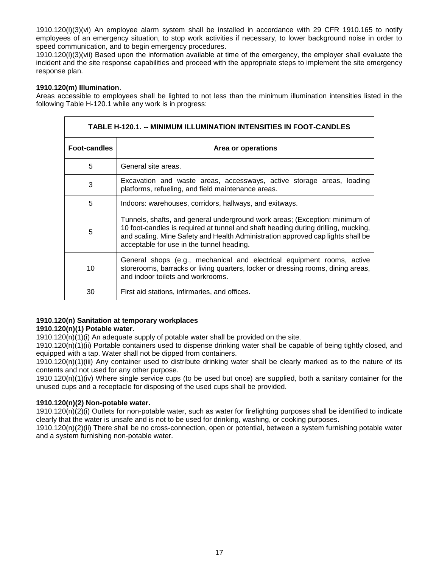1910.120(l)(3)(vi) An employee alarm system shall be installed in accordance with 29 CFR 1910.165 to notify employees of an emergency situation, to stop work activities if necessary, to lower background noise in order to speed communication, and to begin emergency procedures.

1910.120(l)(3)(vii) Based upon the information available at time of the emergency, the employer shall evaluate the incident and the site response capabilities and proceed with the appropriate steps to implement the site emergency response plan.

## **1910.120(m) Illumination**.

Areas accessible to employees shall be lighted to not less than the minimum illumination intensities listed in the following Table H-120.1 while any work is in progress:

<span id="page-16-0"></span>

| TABLE H-120.1. -- MINIMUM ILLUMINATION INTENSITIES IN FOOT-CANDLES |                                                                                                                                                                                                                                                                                                  |  |  |
|--------------------------------------------------------------------|--------------------------------------------------------------------------------------------------------------------------------------------------------------------------------------------------------------------------------------------------------------------------------------------------|--|--|
| <b>Foot-candles</b>                                                | Area or operations                                                                                                                                                                                                                                                                               |  |  |
| 5                                                                  | General site areas.                                                                                                                                                                                                                                                                              |  |  |
| 3                                                                  | Excavation and waste areas, accessways, active storage areas, loading<br>platforms, refueling, and field maintenance areas.                                                                                                                                                                      |  |  |
| 5                                                                  | Indoors: warehouses, corridors, hallways, and exitways.                                                                                                                                                                                                                                          |  |  |
| 5                                                                  | Tunnels, shafts, and general underground work areas; (Exception: minimum of<br>10 foot-candles is required at tunnel and shaft heading during drilling, mucking,<br>and scaling. Mine Safety and Health Administration approved cap lights shall be<br>acceptable for use in the tunnel heading. |  |  |
| 10                                                                 | General shops (e.g., mechanical and electrical equipment rooms, active<br>storerooms, barracks or living quarters, locker or dressing rooms, dining areas,<br>and indoor toilets and workrooms.                                                                                                  |  |  |
| 30                                                                 | First aid stations, infirmaries, and offices.                                                                                                                                                                                                                                                    |  |  |

#### <span id="page-16-1"></span>**1910.120(n) Sanitation at temporary workplaces 1910.120(n)(1) Potable water.**

1910.120(n)(1)(i) An adequate supply of potable water shall be provided on the site.

1910.120(n)(1)(ii) Portable containers used to dispense drinking water shall be capable of being tightly closed, and equipped with a tap. Water shall not be dipped from containers.

1910.120(n)(1)(iii) Any container used to distribute drinking water shall be clearly marked as to the nature of its contents and not used for any other purpose.

1910.120(n)(1)(iv) Where single service cups (to be used but once) are supplied, both a sanitary container for the unused cups and a receptacle for disposing of the used cups shall be provided.

## **1910.120(n)(2) Non-potable water.**

1910.120(n)(2)(i) Outlets for non-potable water, such as water for firefighting purposes shall be identified to indicate clearly that the water is unsafe and is not to be used for drinking, washing, or cooking purposes.

1910.120(n)(2)(ii) There shall be no cross-connection, open or potential, between a system furnishing potable water and a system furnishing non-potable water.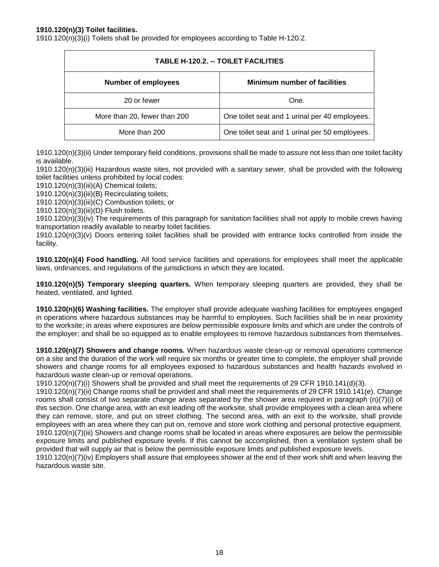#### **1910.120(n)(3) Toilet facilities.**

1910.120(n)(3)(i) Toilets shall be provided for employees according to Table H-120.2.

| <b>TABLE H-120.2. -- TOILET FACILITIES</b> |                                                |  |  |
|--------------------------------------------|------------------------------------------------|--|--|
| <b>Number of employees</b>                 | <b>Minimum number of facilities</b>            |  |  |
| 20 or fewer                                | One.                                           |  |  |
| More than 20, fewer than 200               | One toilet seat and 1 urinal per 40 employees. |  |  |
| More than 200                              | One toilet seat and 1 urinal per 50 employees. |  |  |

1910.120(n)(3)(ii) Under temporary field conditions, provisions shall be made to assure not less than one toilet facility is available.

1910.120(n)(3)(iii) Hazardous waste sites, not provided with a sanitary sewer, shall be provided with the following toilet facilities unless prohibited by local codes:

1910.120(n)(3)(iii)(A) Chemical toilets;

1910.120(n)(3)(iii)(B) Recirculating toilets;

1910.120(n)(3)(iii)(C) Combustion toilets; or

1910.120(n)(3)(iii)(D) Flush toilets.

1910.120(n)(3)(iv) The requirements of this paragraph for sanitation facilities shall not apply to mobile crews having transportation readily available to nearby toilet facilities.

1910.120(n)(3)(v) Doors entering toilet facilities shall be provided with entrance locks controlled from inside the facility.

**1910.120(n)(4) Food handling.** All food service facilities and operations for employees shall meet the applicable laws, ordinances, and regulations of the jurisdictions in which they are located.

**1910.120(n)(5) Temporary sleeping quarters.** When temporary sleeping quarters are provided, they shall be heated, ventilated, and lighted.

**1910.120(n)(6) Washing facilities.** The employer shall provide adequate washing facilities for employees engaged in operations where hazardous substances may be harmful to employees. Such facilities shall be in near proximity to the worksite; in areas where exposures are below permissible exposure limits and which are under the controls of the employer; and shall be so equipped as to enable employees to remove hazardous substances from themselves.

**1910.120(n)(7) Showers and change rooms.** When hazardous waste clean-up or removal operations commence on a site and the duration of the work will require six months or greater time to complete, the employer shall provide showers and change rooms for all employees exposed to hazardous substances and health hazards involved in hazardous waste clean-up or removal operations.

1910.120(n)(7)(i) Showers shall be provided and shall meet the requirements of 29 CFR 1910.141(d)(3).

1910.120(n)(7)(ii) Change rooms shall be provided and shall meet the requirements of 29 CFR 1910.141(e). Change rooms shall consist of two separate change areas separated by the shower area required in paragraph (n)(7)(i) of this section. One change area, with an exit leading off the worksite, shall provide employees with a clean area where they can remove, store, and put on street clothing. The second area, with an exit to the worksite, shall provide employees with an area where they can put on, remove and store work clothing and personal protective equipment. 1910.120(n)(7)(iii) Showers and change rooms shall be located in areas where exposures are below the permissible exposure limits and published exposure levels. If this cannot be accomplished, then a ventilation system shall be provided that will supply air that is below the permissible exposure limits and published exposure levels.

1910.120(n)(7)(iv) Employers shall assure that employees shower at the end of their work shift and when leaving the hazardous waste site.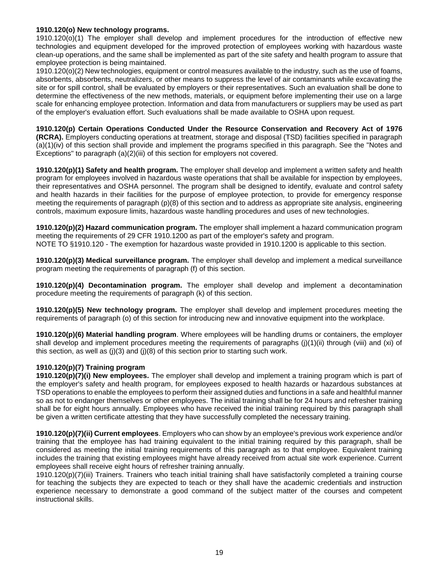#### <span id="page-18-0"></span>**1910.120(o) New technology programs.**

1910.120(o)(1) The employer shall develop and implement procedures for the introduction of effective new technologies and equipment developed for the improved protection of employees working with hazardous waste clean-up operations, and the same shall be implemented as part of the site safety and health program to assure that employee protection is being maintained.

1910.120(o)(2) New technologies, equipment or control measures available to the industry, such as the use of foams, absorbents, absorbents, neutralizers, or other means to suppress the level of air contaminants while excavating the site or for spill control, shall be evaluated by employers or their representatives. Such an evaluation shall be done to determine the effectiveness of the new methods, materials, or equipment before implementing their use on a large scale for enhancing employee protection. Information and data from manufacturers or suppliers may be used as part of the employer's evaluation effort. Such evaluations shall be made available to OSHA upon request.

<span id="page-18-1"></span>**1910.120(p) Certain Operations Conducted Under the Resource Conservation and Recovery Act of 1976 (RCRA).** Employers conducting operations at treatment, storage and disposal (TSD) facilities specified in paragraph (a)(1)(iv) of this section shall provide and implement the programs specified in this paragraph. See the "Notes and Exceptions" to paragraph (a)(2)(iii) of this section for employers not covered.

**1910.120(p)(1) Safety and health program.** The employer shall develop and implement a written safety and health program for employees involved in hazardous waste operations that shall be available for inspection by employees, their representatives and OSHA personnel. The program shall be designed to identify, evaluate and control safety and health hazards in their facilities for the purpose of employee protection, to provide for emergency response meeting the requirements of paragraph (p)(8) of this section and to address as appropriate site analysis, engineering controls, maximum exposure limits, hazardous waste handling procedures and uses of new technologies.

**1910.120(p)(2) Hazard communication program.** The employer shall implement a hazard communication program meeting the requirements of 29 CFR 1910.1200 as part of the employer's safety and program.

NOTE TO §1910.120 - The exemption for hazardous waste provided in 1910.1200 is applicable to this section.

**1910.120(p)(3) Medical surveillance program.** The employer shall develop and implement a medical surveillance program meeting the requirements of paragraph (f) of this section.

**1910.120(p)(4) Decontamination program.** The employer shall develop and implement a decontamination procedure meeting the requirements of paragraph (k) of this section.

**1910.120(p)(5) New technology program.** The employer shall develop and implement procedures meeting the requirements of paragraph (o) of this section for introducing new and innovative equipment into the workplace.

**1910.120(p)(6) Material handling program**. Where employees will be handling drums or containers, the employer shall develop and implement procedures meeting the requirements of paragraphs (j)(1)(ii) through (viii) and (xi) of this section, as well as  $(i)(3)$  and  $(i)(8)$  of this section prior to starting such work.

## **1910.120(p)(7) Training program**

**1910.120(p)(7)(i) New employees.** The employer shall develop and implement a training program which is part of the employer's safety and health program, for employees exposed to health hazards or hazardous substances at TSD operations to enable the employees to perform their assigned duties and functions in a safe and healthful manner so as not to endanger themselves or other employees. The initial training shall be for 24 hours and refresher training shall be for eight hours annually. Employees who have received the initial training required by this paragraph shall be given a written certificate attesting that they have successfully completed the necessary training.

**1910.120(p)(7)(ii) Current employees**. Employers who can show by an employee's previous work experience and/or training that the employee has had training equivalent to the initial training required by this paragraph, shall be considered as meeting the initial training requirements of this paragraph as to that employee. Equivalent training includes the training that existing employees might have already received from actual site work experience. Current employees shall receive eight hours of refresher training annually.

1910.120(p)(7)(iii) Trainers. Trainers who teach initial training shall have satisfactorily completed a training course for teaching the subjects they are expected to teach or they shall have the academic credentials and instruction experience necessary to demonstrate a good command of the subject matter of the courses and competent instructional skills.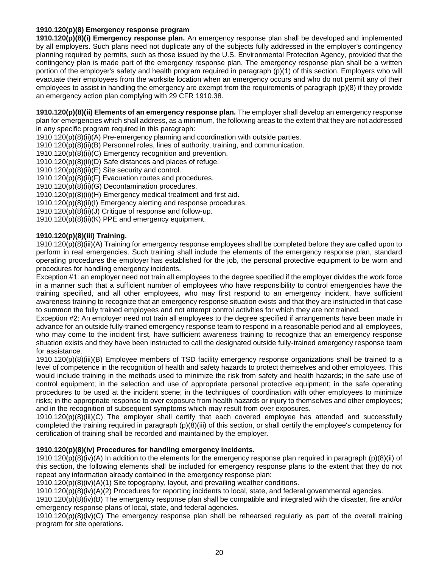#### **1910.120(p)(8) Emergency response program**

**1910.120(p)(8)(i) Emergency response plan.** An emergency response plan shall be developed and implemented by all employers. Such plans need not duplicate any of the subjects fully addressed in the employer's contingency planning required by permits, such as those issued by the U.S. Environmental Protection Agency, provided that the contingency plan is made part of the emergency response plan. The emergency response plan shall be a written portion of the employer's safety and health program required in paragraph (p)(1) of this section. Employers who will evacuate their employees from the worksite location when an emergency occurs and who do not permit any of their employees to assist in handling the emergency are exempt from the requirements of paragraph (p)(8) if they provide an emergency action plan complying with 29 CFR 1910.38.

**1910.120(p)(8)(ii) Elements of an emergency response plan.** The employer shall develop an emergency response plan for emergencies which shall address, as a minimum, the following areas to the extent that they are not addressed in any specific program required in this paragraph:

1910.120(p)(8)(ii)(A) Pre-emergency planning and coordination with outside parties.

1910.120(p)(8)(ii)(B) Personnel roles, lines of authority, training, and communication.

1910.120(p)(8)(ii)(C) Emergency recognition and prevention.

1910.120(p)(8)(ii)(D) Safe distances and places of refuge.

 $1910.120(p)(8)(ii)(E)$  Site security and control.

1910.120(p)(8)(ii)(F) Evacuation routes and procedures.

1910.120(p)(8)(ii)(G) Decontamination procedures.

1910.120(p)(8)(ii)(H) Emergency medical treatment and first aid.

1910.120(p)(8)(ii)(I) Emergency alerting and response procedures.

1910.120(p)(8)(ii)(J) Critique of response and follow-up.

1910.120(p)(8)(ii)(K) PPE and emergency equipment.

#### **1910.120(p)(8)(iii) Training.**

1910.120(p)(8)(iii)(A) Training for emergency response employees shall be completed before they are called upon to perform in real emergencies. Such training shall include the elements of the emergency response plan, standard operating procedures the employer has established for the job, the personal protective equipment to be worn and procedures for handling emergency incidents.

Exception #1: an employer need not train all employees to the degree specified if the employer divides the work force in a manner such that a sufficient number of employees who have responsibility to control emergencies have the training specified, and all other employees, who may first respond to an emergency incident, have sufficient awareness training to recognize that an emergency response situation exists and that they are instructed in that case to summon the fully trained employees and not attempt control activities for which they are not trained.

Exception #2: An employer need not train all employees to the degree specified if arrangements have been made in advance for an outside fully-trained emergency response team to respond in a reasonable period and all employees, who may come to the incident first, have sufficient awareness training to recognize that an emergency response situation exists and they have been instructed to call the designated outside fully-trained emergency response team for assistance.

1910.120(p)(8)(iii)(B) Employee members of TSD facility emergency response organizations shall be trained to a level of competence in the recognition of health and safety hazards to protect themselves and other employees. This would include training in the methods used to minimize the risk from safety and health hazards; in the safe use of control equipment; in the selection and use of appropriate personal protective equipment; in the safe operating procedures to be used at the incident scene; in the techniques of coordination with other employees to minimize risks; in the appropriate response to over exposure from health hazards or injury to themselves and other employees; and in the recognition of subsequent symptoms which may result from over exposures.

1910.120(p)(8)(iii)(C) The employer shall certify that each covered employee has attended and successfully completed the training required in paragraph (p)(8)(iii) of this section, or shall certify the employee's competency for certification of training shall be recorded and maintained by the employer.

## **1910.120(p)(8)(iv) Procedures for handling emergency incidents.**

 $1910.120(p)(8)(iv)(A)$  In addition to the elements for the emergency response plan required in paragraph (p)(8)(ii) of this section, the following elements shall be included for emergency response plans to the extent that they do not repeat any information already contained in the emergency response plan:

1910.120(p)(8)(iv)(A)(1) Site topography, layout, and prevailing weather conditions.

1910.120(p)(8)(iv)(A)(2) Procedures for reporting incidents to local, state, and federal governmental agencies.

1910.120(p)(8)(iv)(B) The emergency response plan shall be compatible and integrated with the disaster, fire and/or emergency response plans of local, state, and federal agencies.

1910.120(p)(8)(iv)(C) The emergency response plan shall be rehearsed regularly as part of the overall training program for site operations.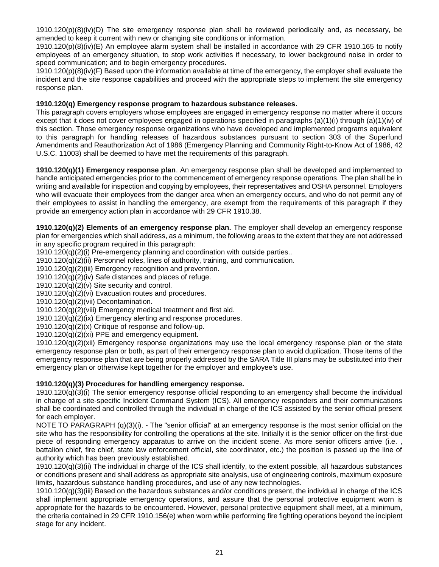1910.120(p)(8)(iv)(D) The site emergency response plan shall be reviewed periodically and, as necessary, be amended to keep it current with new or changing site conditions or information.

1910.120(p)(8)(iv)(E) An employee alarm system shall be installed in accordance with 29 CFR 1910.165 to notify employees of an emergency situation, to stop work activities if necessary, to lower background noise in order to speed communication; and to begin emergency procedures.

1910.120(p)(8)(iv)(F) Based upon the information available at time of the emergency, the employer shall evaluate the incident and the site response capabilities and proceed with the appropriate steps to implement the site emergency response plan.

#### <span id="page-20-0"></span>**1910.120(q) Emergency response program to hazardous substance releases.**

This paragraph covers employers whose employees are engaged in emergency response no matter where it occurs except that it does not cover employees engaged in operations specified in paragraphs (a)(1)(i) through (a)(1)(iv) of this section. Those emergency response organizations who have developed and implemented programs equivalent to this paragraph for handling releases of hazardous substances pursuant to section 303 of the Superfund Amendments and Reauthorization Act of 1986 (Emergency Planning and Community Right-to-Know Act of 1986, 42 U.S.C. 11003) shall be deemed to have met the requirements of this paragraph.

**1910.120(q)(1) Emergency response plan**. An emergency response plan shall be developed and implemented to handle anticipated emergencies prior to the commencement of emergency response operations. The plan shall be in writing and available for inspection and copying by employees, their representatives and OSHA personnel. Employers who will evacuate their employees from the danger area when an emergency occurs, and who do not permit any of their employees to assist in handling the emergency, are exempt from the requirements of this paragraph if they provide an emergency action plan in accordance with 29 CFR 1910.38.

**1910.120(q)(2) Elements of an emergency response plan.** The employer shall develop an emergency response plan for emergencies which shall address, as a minimum, the following areas to the extent that they are not addressed in any specific program required in this paragraph:

1910.120(q)(2)(i) Pre-emergency planning and coordination with outside parties..

1910.120(q)(2)(ii) Personnel roles, lines of authority, training, and communication.

1910.120(q)(2)(iii) Emergency recognition and prevention.

1910.120(q)(2)(iv) Safe distances and places of refuge.

1910.120(q)(2)(v) Site security and control.

1910.120(q)(2)(vi) Evacuation routes and procedures.

1910.120(q)(2)(vii) Decontamination.

1910.120(q)(2)(viii) Emergency medical treatment and first aid.

1910.120(q)(2)(ix) Emergency alerting and response procedures.

1910.120(q)(2)(x) Critique of response and follow-up.

1910.120(q)(2)(xi) PPE and emergency equipment.

1910.120(q)(2)(xii) Emergency response organizations may use the local emergency response plan or the state emergency response plan or both, as part of their emergency response plan to avoid duplication. Those items of the emergency response plan that are being properly addressed by the SARA Title III plans may be substituted into their emergency plan or otherwise kept together for the employer and employee's use.

## **1910.120(q)(3) Procedures for handling emergency response.**

1910.120(q)(3)(i) The senior emergency response official responding to an emergency shall become the individual in charge of a site-specific Incident Command System (ICS). All emergency responders and their communications shall be coordinated and controlled through the individual in charge of the ICS assisted by the senior official present for each employer.

NOTE TO PARAGRAPH (q)(3)(i). - The "senior official" at an emergency response is the most senior official on the site who has the responsibility for controlling the operations at the site. Initially it is the senior officer on the first-due piece of responding emergency apparatus to arrive on the incident scene. As more senior officers arrive (i.e. ,

battalion chief, fire chief, state law enforcement official, site coordinator, etc.) the position is passed up the line of authority which has been previously established.

1910.120(q)(3)(ii) The individual in charge of the ICS shall identify, to the extent possible, all hazardous substances or conditions present and shall address as appropriate site analysis, use of engineering controls, maximum exposure limits, hazardous substance handling procedures, and use of any new technologies.

1910.120(q)(3)(iii) Based on the hazardous substances and/or conditions present, the individual in charge of the ICS shall implement appropriate emergency operations, and assure that the personal protective equipment worn is appropriate for the hazards to be encountered. However, personal protective equipment shall meet, at a minimum, the criteria contained in 29 CFR 1910.156(e) when worn while performing fire fighting operations beyond the incipient stage for any incident.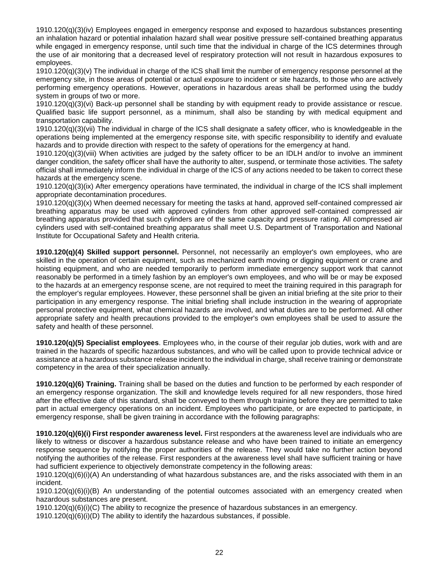1910.120(q)(3)(iv) Employees engaged in emergency response and exposed to hazardous substances presenting an inhalation hazard or potential inhalation hazard shall wear positive pressure self-contained breathing apparatus while engaged in emergency response, until such time that the individual in charge of the ICS determines through the use of air monitoring that a decreased level of respiratory protection will not result in hazardous exposures to employees.

1910.120(q)(3)(v) The individual in charge of the ICS shall limit the number of emergency response personnel at the emergency site, in those areas of potential or actual exposure to incident or site hazards, to those who are actively performing emergency operations. However, operations in hazardous areas shall be performed using the buddy system in groups of two or more.

1910.120(q)(3)(vi) Back-up personnel shall be standing by with equipment ready to provide assistance or rescue. Qualified basic life support personnel, as a minimum, shall also be standing by with medical equipment and transportation capability.

1910.120(q)(3)(vii) The individual in charge of the ICS shall designate a safety officer, who is knowledgeable in the operations being implemented at the emergency response site, with specific responsibility to identify and evaluate hazards and to provide direction with respect to the safety of operations for the emergency at hand.

1910.120(q)(3)(viii) When activities are judged by the safety officer to be an IDLH and/or to involve an imminent danger condition, the safety officer shall have the authority to alter, suspend, or terminate those activities. The safety official shall immediately inform the individual in charge of the ICS of any actions needed to be taken to correct these hazards at the emergency scene.

1910.120(q)(3)(ix) After emergency operations have terminated, the individual in charge of the ICS shall implement appropriate decontamination procedures.

1910.120(q)(3)(x) When deemed necessary for meeting the tasks at hand, approved self-contained compressed air breathing apparatus may be used with approved cylinders from other approved self-contained compressed air breathing apparatus provided that such cylinders are of the same capacity and pressure rating. All compressed air cylinders used with self-contained breathing apparatus shall meet U.S. Department of Transportation and National Institute for Occupational Safety and Health criteria.

**1910.120(q)(4) Skilled support personnel.** Personnel, not necessarily an employer's own employees, who are skilled in the operation of certain equipment, such as mechanized earth moving or digging equipment or crane and hoisting equipment, and who are needed temporarily to perform immediate emergency support work that cannot reasonably be performed in a timely fashion by an employer's own employees, and who will be or may be exposed to the hazards at an emergency response scene, are not required to meet the training required in this paragraph for the employer's regular employees. However, these personnel shall be given an initial briefing at the site prior to their participation in any emergency response. The initial briefing shall include instruction in the wearing of appropriate personal protective equipment, what chemical hazards are involved, and what duties are to be performed. All other appropriate safety and health precautions provided to the employer's own employees shall be used to assure the safety and health of these personnel.

**1910.120(q)(5) Specialist employees**. Employees who, in the course of their regular job duties, work with and are trained in the hazards of specific hazardous substances, and who will be called upon to provide technical advice or assistance at a hazardous substance release incident to the individual in charge, shall receive training or demonstrate competency in the area of their specialization annually.

**1910.120(q)(6) Training.** Training shall be based on the duties and function to be performed by each responder of an emergency response organization. The skill and knowledge levels required for all new responders, those hired after the effective date of this standard, shall be conveyed to them through training before they are permitted to take part in actual emergency operations on an incident. Employees who participate, or are expected to participate, in emergency response, shall be given training in accordance with the following paragraphs:

**1910.120(q)(6)(i) First responder awareness level.** First responders at the awareness level are individuals who are likely to witness or discover a hazardous substance release and who have been trained to initiate an emergency response sequence by notifying the proper authorities of the release. They would take no further action beyond notifying the authorities of the release. First responders at the awareness level shall have sufficient training or have had sufficient experience to objectively demonstrate competency in the following areas:

1910.120(q)(6)(i)(A) An understanding of what hazardous substances are, and the risks associated with them in an incident.

1910.120(q)(6)(i)(B) An understanding of the potential outcomes associated with an emergency created when hazardous substances are present.

1910.120(q)(6)(i)(C) The ability to recognize the presence of hazardous substances in an emergency.

 $1910.120(q)(6)(i)(D)$  The ability to identify the hazardous substances, if possible.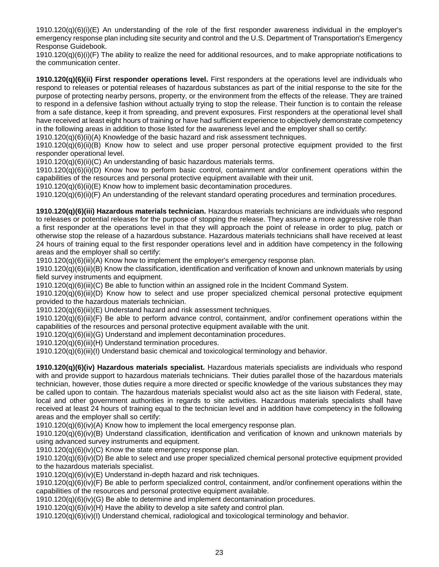1910.120(q)(6)(i)(E) An understanding of the role of the first responder awareness individual in the employer's emergency response plan including site security and control and the U.S. Department of Transportation's Emergency Response Guidebook.

1910.120(q)(6)(i)(F) The ability to realize the need for additional resources, and to make appropriate notifications to the communication center.

**1910.120(q)(6)(ii) First responder operations level.** First responders at the operations level are individuals who respond to releases or potential releases of hazardous substances as part of the initial response to the site for the purpose of protecting nearby persons, property, or the environment from the effects of the release. They are trained to respond in a defensive fashion without actually trying to stop the release. Their function is to contain the release from a safe distance, keep it from spreading, and prevent exposures. First responders at the operational level shall have received at least eight hours of training or have had sufficient experience to objectively demonstrate competency in the following areas in addition to those listed for the awareness level and the employer shall so certify:

1910.120(q)(6)(ii)(A) Knowledge of the basic hazard and risk assessment techniques.

1910.120(q)(6)(ii)(B) Know how to select and use proper personal protective equipment provided to the first responder operational level.

1910.120(q)(6)(ii)(C) An understanding of basic hazardous materials terms.

1910.120(q)(6)(ii)(D) Know how to perform basic control, containment and/or confinement operations within the capabilities of the resources and personal protective equipment available with their unit.

1910.120(q)(6)(ii)(E) Know how to implement basic decontamination procedures.

1910.120(q)(6)(ii)(F) An understanding of the relevant standard operating procedures and termination procedures.

**1910.120(q)(6)(iii) Hazardous materials technician.** Hazardous materials technicians are individuals who respond to releases or potential releases for the purpose of stopping the release. They assume a more aggressive role than a first responder at the operations level in that they will approach the point of release in order to plug, patch or otherwise stop the release of a hazardous substance. Hazardous materials technicians shall have received at least 24 hours of training equal to the first responder operations level and in addition have competency in the following areas and the employer shall so certify:

1910.120(q)(6)(iii)(A) Know how to implement the employer's emergency response plan.

1910.120(q)(6)(iii)(B) Know the classification, identification and verification of known and unknown materials by using field survey instruments and equipment.

1910.120(q)(6)(iii)(C) Be able to function within an assigned role in the Incident Command System.

1910.120(q)(6)(iii)(D) Know how to select and use proper specialized chemical personal protective equipment provided to the hazardous materials technician.

1910.120(q)(6)(iii)(E) Understand hazard and risk assessment techniques.

1910.120(q)(6)(iii)(F) Be able to perform advance control, containment, and/or confinement operations within the capabilities of the resources and personal protective equipment available with the unit.

1910.120(q)(6)(iii)(G) Understand and implement decontamination procedures.

1910.120(q)(6)(iii)(H) Understand termination procedures.

1910.120(q)(6)(iii)(I) Understand basic chemical and toxicological terminology and behavior.

**1910.120(q)(6)(iv) Hazardous materials specialist.** Hazardous materials specialists are individuals who respond with and provide support to hazardous materials technicians. Their duties parallel those of the hazardous materials technician, however, those duties require a more directed or specific knowledge of the various substances they may be called upon to contain. The hazardous materials specialist would also act as the site liaison with Federal, state, local and other government authorities in regards to site activities. Hazardous materials specialists shall have received at least 24 hours of training equal to the technician level and in addition have competency in the following areas and the employer shall so certify:

1910.120(q)(6)(iv)(A) Know how to implement the local emergency response plan.

1910.120(q)(6)(iv)(B) Understand classification, identification and verification of known and unknown materials by using advanced survey instruments and equipment.

1910.120(q)(6)(iv)(C) Know the state emergency response plan.

1910.120(q)(6)(iv)(D) Be able to select and use proper specialized chemical personal protective equipment provided to the hazardous materials specialist.

1910.120(q)(6)(iv)(E) Understand in-depth hazard and risk techniques.

1910.120(q)(6)(iv)(F) Be able to perform specialized control, containment, and/or confinement operations within the capabilities of the resources and personal protective equipment available.

1910.120(q)(6)(iv)(G) Be able to determine and implement decontamination procedures.

1910.120(q)(6)(iv)(H) Have the ability to develop a site safety and control plan.

1910.120(q)(6)(iv)(I) Understand chemical, radiological and toxicological terminology and behavior.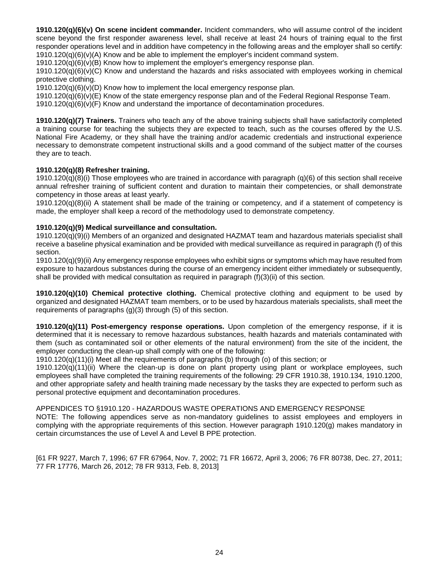**1910.120(q)(6)(v) On scene incident commander.** Incident commanders, who will assume control of the incident scene beyond the first responder awareness level, shall receive at least 24 hours of training equal to the first responder operations level and in addition have competency in the following areas and the employer shall so certify:  $1910.120(q)(6)(v)(A)$  Know and be able to implement the employer's incident command system.

 $1910.120(q)(6)(v)(B)$  Know how to implement the employer's emergency response plan.

1910.120(q)(6)(v)(C) Know and understand the hazards and risks associated with employees working in chemical protective clothing.

 $1910.120(q)(6)(v)(D)$  Know how to implement the local emergency response plan.

1910.120(q)(6)(v)(E) Know of the state emergency response plan and of the Federal Regional Response Team.

 $1910.120(q)(6)(v)(F)$  Know and understand the importance of decontamination procedures.

**1910.120(q)(7) Trainers.** Trainers who teach any of the above training subjects shall have satisfactorily completed a training course for teaching the subjects they are expected to teach, such as the courses offered by the U.S. National Fire Academy, or they shall have the training and/or academic credentials and instructional experience necessary to demonstrate competent instructional skills and a good command of the subject matter of the courses they are to teach.

#### **1910.120(q)(8) Refresher training.**

1910.120(q)(8)(i) Those employees who are trained in accordance with paragraph (q)(6) of this section shall receive annual refresher training of sufficient content and duration to maintain their competencies, or shall demonstrate competency in those areas at least yearly.

1910.120(q)(8)(ii) A statement shall be made of the training or competency, and if a statement of competency is made, the employer shall keep a record of the methodology used to demonstrate competency.

#### **1910.120(q)(9) Medical surveillance and consultation.**

1910.120(q)(9)(i) Members of an organized and designated HAZMAT team and hazardous materials specialist shall receive a baseline physical examination and be provided with medical surveillance as required in paragraph (f) of this section.

1910.120(q)(9)(ii) Any emergency response employees who exhibit signs or symptoms which may have resulted from exposure to hazardous substances during the course of an emergency incident either immediately or subsequently, shall be provided with medical consultation as required in paragraph (f)(3)(ii) of this section.

**1910.120(q)(10) Chemical protective clothing.** Chemical protective clothing and equipment to be used by organized and designated HAZMAT team members, or to be used by hazardous materials specialists, shall meet the requirements of paragraphs (g)(3) through (5) of this section.

**1910.120(q)(11) Post-emergency response operations.** Upon completion of the emergency response, if it is determined that it is necessary to remove hazardous substances, health hazards and materials contaminated with them (such as contaminated soil or other elements of the natural environment) from the site of the incident, the employer conducting the clean-up shall comply with one of the following:

1910.120(q)(11)(i) Meet all the requirements of paragraphs (b) through (o) of this section; or

1910.120(q)(11)(ii) Where the clean-up is done on plant property using plant or workplace employees, such employees shall have completed the training requirements of the following: 29 CFR 1910.38, 1910.134, 1910.1200, and other appropriate safety and health training made necessary by the tasks they are expected to perform such as personal protective equipment and decontamination procedures.

#### APPENDICES TO §1910.120 - HAZARDOUS WASTE OPERATIONS AND EMERGENCY RESPONSE

NOTE: The following appendices serve as non-mandatory guidelines to assist employees and employers in complying with the appropriate requirements of this section. However paragraph 1910.120(g) makes mandatory in certain circumstances the use of Level A and Level B PPE protection.

[61 FR 9227, March 7, 1996; 67 FR 67964, Nov. 7, 2002; 71 FR 16672, April 3, 2006; 76 FR 80738, Dec. 27, 2011; 77 FR 17776, March 26, 2012; 78 FR 9313, Feb. 8, 2013]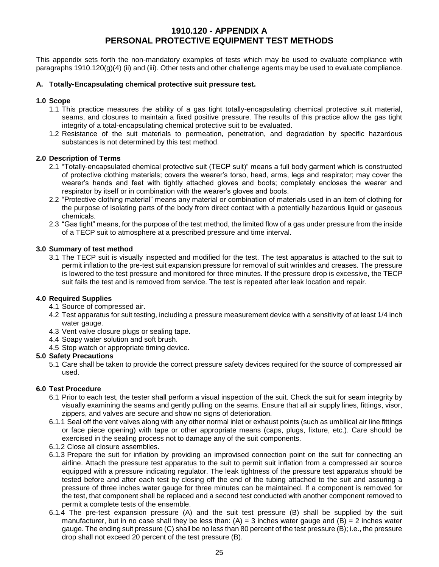## <span id="page-24-0"></span>**1910.120 - APPENDIX A PERSONAL PROTECTIVE EQUIPMENT TEST METHODS**

This appendix sets forth the non-mandatory examples of tests which may be used to evaluate compliance with paragraphs 1910.120(g)(4) (ii) and (iii). Other tests and other challenge agents may be used to evaluate compliance.

#### **A. Totally-Encapsulating chemical protective suit pressure test.**

#### **1.0 Scope**

- 1.1 This practice measures the ability of a gas tight totally-encapsulating chemical protective suit material, seams, and closures to maintain a fixed positive pressure. The results of this practice allow the gas tight integrity of a total-encapsulating chemical protective suit to be evaluated.
- 1.2 Resistance of the suit materials to permeation, penetration, and degradation by specific hazardous substances is not determined by this test method.

#### **2.0 Description of Terms**

- 2.1 "Totally-encapsulated chemical protective suit (TECP suit)" means a full body garment which is constructed of protective clothing materials; covers the wearer's torso, head, arms, legs and respirator; may cover the wearer's hands and feet with tightly attached gloves and boots; completely encloses the wearer and respirator by itself or in combination with the wearer's gloves and boots.
- 2.2 "Protective clothing material" means any material or combination of materials used in an item of clothing for the purpose of isolating parts of the body from direct contact with a potentially hazardous liquid or gaseous chemicals.
- 2.3 "Gas tight" means, for the purpose of the test method, the limited flow of a gas under pressure from the inside of a TECP suit to atmosphere at a prescribed pressure and time interval.

#### **3.0 Summary of test method**

3.1 The TECP suit is visually inspected and modified for the test. The test apparatus is attached to the suit to permit inflation to the pre-test suit expansion pressure for removal of suit wrinkles and creases. The pressure is lowered to the test pressure and monitored for three minutes. If the pressure drop is excessive, the TECP suit fails the test and is removed from service. The test is repeated after leak location and repair.

#### **4.0 Required Supplies**

- 4.1 Source of compressed air.
- 4.2 Test apparatus for suit testing, including a pressure measurement device with a sensitivity of at least 1/4 inch water gauge.
- 4.3 Vent valve closure plugs or sealing tape.
- 4.4 Soapy water solution and soft brush.
- 4.5 Stop watch or appropriate timing device.

#### **5.0 Safety Precautions**

5.1 Care shall be taken to provide the correct pressure safety devices required for the source of compressed air used.

#### **6.0 Test Procedure**

- 6.1 Prior to each test, the tester shall perform a visual inspection of the suit. Check the suit for seam integrity by visually examining the seams and gently pulling on the seams. Ensure that all air supply lines, fittings, visor, zippers, and valves are secure and show no signs of deterioration.
- 6.1.1 Seal off the vent valves along with any other normal inlet or exhaust points (such as umbilical air line fittings or face piece opening) with tape or other appropriate means (caps, plugs, fixture, etc.). Care should be exercised in the sealing process not to damage any of the suit components.
- 6.1.2 Close all closure assemblies.
- 6.1.3 Prepare the suit for inflation by providing an improvised connection point on the suit for connecting an airline. Attach the pressure test apparatus to the suit to permit suit inflation from a compressed air source equipped with a pressure indicating regulator. The leak tightness of the pressure test apparatus should be tested before and after each test by closing off the end of the tubing attached to the suit and assuring a pressure of three inches water gauge for three minutes can be maintained. If a component is removed for the test, that component shall be replaced and a second test conducted with another component removed to permit a complete tests of the ensemble.
- 6.1.4 The pre-test expansion pressure (A) and the suit test pressure (B) shall be supplied by the suit manufacturer, but in no case shall they be less than:  $(A) = 3$  inches water gauge and  $(B) = 2$  inches water gauge. The ending suit pressure (C) shall be no less than 80 percent of the test pressure (B); i.e., the pressure drop shall not exceed 20 percent of the test pressure (B).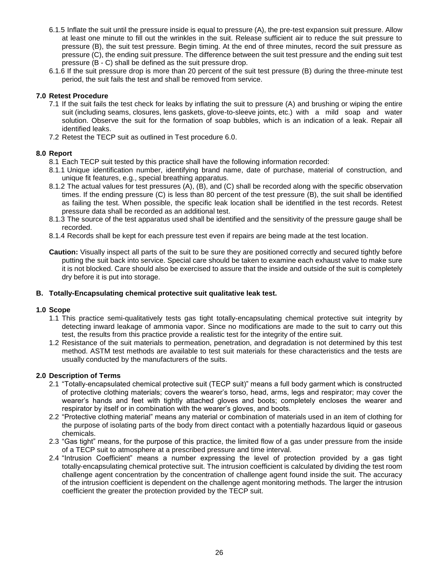- 6.1.5 Inflate the suit until the pressure inside is equal to pressure (A), the pre-test expansion suit pressure. Allow at least one minute to fill out the wrinkles in the suit. Release sufficient air to reduce the suit pressure to pressure (B), the suit test pressure. Begin timing. At the end of three minutes, record the suit pressure as pressure (C), the ending suit pressure. The difference between the suit test pressure and the ending suit test pressure (B - C) shall be defined as the suit pressure drop.
- 6.1.6 If the suit pressure drop is more than 20 percent of the suit test pressure (B) during the three-minute test period, the suit fails the test and shall be removed from service.

#### **7.0 Retest Procedure**

- 7.1 If the suit fails the test check for leaks by inflating the suit to pressure (A) and brushing or wiping the entire suit (including seams, closures, lens gaskets, glove-to-sleeve joints, etc.) with a mild soap and water solution. Observe the suit for the formation of soap bubbles, which is an indication of a leak. Repair all identified leaks.
- 7.2 Retest the TECP suit as outlined in Test procedure 6.0.

#### **8.0 Report**

- 8.1 Each TECP suit tested by this practice shall have the following information recorded:
- 8.1.1 Unique identification number, identifying brand name, date of purchase, material of construction, and unique fit features, e.g., special breathing apparatus.
- 8.1.2 The actual values for test pressures (A), (B), and (C) shall be recorded along with the specific observation times. If the ending pressure (C) is less than 80 percent of the test pressure (B), the suit shall be identified as failing the test. When possible, the specific leak location shall be identified in the test records. Retest pressure data shall be recorded as an additional test.
- 8.1.3 The source of the test apparatus used shall be identified and the sensitivity of the pressure gauge shall be recorded.
- 8.1.4 Records shall be kept for each pressure test even if repairs are being made at the test location.
- **Caution:** Visually inspect all parts of the suit to be sure they are positioned correctly and secured tightly before putting the suit back into service. Special care should be taken to examine each exhaust valve to make sure it is not blocked. Care should also be exercised to assure that the inside and outside of the suit is completely dry before it is put into storage.

#### **B. Totally-Encapsulating chemical protective suit qualitative leak test.**

#### **1.0 Scope**

- 1.1 This practice semi-qualitatively tests gas tight totally-encapsulating chemical protective suit integrity by detecting inward leakage of ammonia vapor. Since no modifications are made to the suit to carry out this test, the results from this practice provide a realistic test for the integrity of the entire suit.
- 1.2 Resistance of the suit materials to permeation, penetration, and degradation is not determined by this test method. ASTM test methods are available to test suit materials for these characteristics and the tests are usually conducted by the manufacturers of the suits.

## **2.0 Description of Terms**

- 2.1 "Totally-encapsulated chemical protective suit (TECP suit)" means a full body garment which is constructed of protective clothing materials; covers the wearer's torso, head, arms, legs and respirator; may cover the wearer's hands and feet with tightly attached gloves and boots; completely encloses the wearer and respirator by itself or in combination with the wearer's gloves, and boots.
- 2.2 "Protective clothing material" means any material or combination of materials used in an item of clothing for the purpose of isolating parts of the body from direct contact with a potentially hazardous liquid or gaseous chemicals.
- 2.3 "Gas tight" means, for the purpose of this practice, the limited flow of a gas under pressure from the inside of a TECP suit to atmosphere at a prescribed pressure and time interval.
- 2.4 "Intrusion Coefficient" means a number expressing the level of protection provided by a gas tight totally-encapsulating chemical protective suit. The intrusion coefficient is calculated by dividing the test room challenge agent concentration by the concentration of challenge agent found inside the suit. The accuracy of the intrusion coefficient is dependent on the challenge agent monitoring methods. The larger the intrusion coefficient the greater the protection provided by the TECP suit.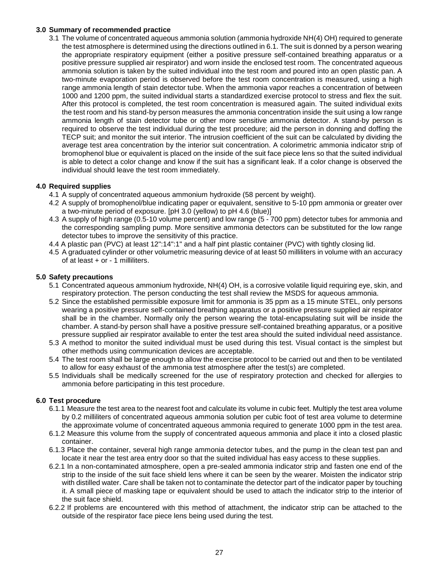#### **3.0 Summary of recommended practice**

3.1 The volume of concentrated aqueous ammonia solution (ammonia hydroxide NH(4) OH) required to generate the test atmosphere is determined using the directions outlined in 6.1. The suit is donned by a person wearing the appropriate respiratory equipment (either a positive pressure self-contained breathing apparatus or a positive pressure supplied air respirator) and worn inside the enclosed test room. The concentrated aqueous ammonia solution is taken by the suited individual into the test room and poured into an open plastic pan. A two-minute evaporation period is observed before the test room concentration is measured, using a high range ammonia length of stain detector tube. When the ammonia vapor reaches a concentration of between 1000 and 1200 ppm, the suited individual starts a standardized exercise protocol to stress and flex the suit. After this protocol is completed, the test room concentration is measured again. The suited individual exits the test room and his stand-by person measures the ammonia concentration inside the suit using a low range ammonia length of stain detector tube or other more sensitive ammonia detector. A stand-by person is required to observe the test individual during the test procedure; aid the person in donning and doffing the TECP suit; and monitor the suit interior. The intrusion coefficient of the suit can be calculated by dividing the average test area concentration by the interior suit concentration. A colorimetric ammonia indicator strip of bromophenol blue or equivalent is placed on the inside of the suit face piece lens so that the suited individual is able to detect a color change and know if the suit has a significant leak. If a color change is observed the individual should leave the test room immediately.

## **4.0 Required supplies**

- 4.1 A supply of concentrated aqueous ammonium hydroxide (58 percent by weight).
- 4.2 A supply of bromophenol/blue indicating paper or equivalent, sensitive to 5-10 ppm ammonia or greater over a two-minute period of exposure. [pH 3.0 (yellow) to pH 4.6 (blue)]
- 4.3 A supply of high range (0.5-10 volume percent) and low range (5 700 ppm) detector tubes for ammonia and the corresponding sampling pump. More sensitive ammonia detectors can be substituted for the low range detector tubes to improve the sensitivity of this practice.
- 4.4 A plastic pan (PVC) at least 12":14":1" and a half pint plastic container (PVC) with tightly closing lid.
- 4.5 A graduated cylinder or other volumetric measuring device of at least 50 milliliters in volume with an accuracy of at least + or - 1 milliliters.

#### **5.0 Safety precautions**

- 5.1 Concentrated aqueous ammonium hydroxide, NH(4) OH, is a corrosive volatile liquid requiring eye, skin, and respiratory protection. The person conducting the test shall review the MSDS for aqueous ammonia.
- 5.2 Since the established permissible exposure limit for ammonia is 35 ppm as a 15 minute STEL, only persons wearing a positive pressure self-contained breathing apparatus or a positive pressure supplied air respirator shall be in the chamber. Normally only the person wearing the total-encapsulating suit will be inside the chamber. A stand-by person shall have a positive pressure self-contained breathing apparatus, or a positive pressure supplied air respirator available to enter the test area should the suited individual need assistance.
- 5.3 A method to monitor the suited individual must be used during this test. Visual contact is the simplest but other methods using communication devices are acceptable.
- 5.4 The test room shall be large enough to allow the exercise protocol to be carried out and then to be ventilated to allow for easy exhaust of the ammonia test atmosphere after the test(s) are completed.
- 5.5 Individuals shall be medically screened for the use of respiratory protection and checked for allergies to ammonia before participating in this test procedure.

## **6.0 Test procedure**

- 6.1.1 Measure the test area to the nearest foot and calculate its volume in cubic feet. Multiply the test area volume by 0.2 milliliters of concentrated aqueous ammonia solution per cubic foot of test area volume to determine the approximate volume of concentrated aqueous ammonia required to generate 1000 ppm in the test area.
- 6.1.2 Measure this volume from the supply of concentrated aqueous ammonia and place it into a closed plastic container.
- 6.1.3 Place the container, several high range ammonia detector tubes, and the pump in the clean test pan and locate it near the test area entry door so that the suited individual has easy access to these supplies.
- 6.2.1 In a non-contaminated atmosphere, open a pre-sealed ammonia indicator strip and fasten one end of the strip to the inside of the suit face shield lens where it can be seen by the wearer. Moisten the indicator strip with distilled water. Care shall be taken not to contaminate the detector part of the indicator paper by touching it. A small piece of masking tape or equivalent should be used to attach the indicator strip to the interior of the suit face shield.
- 6.2.2 If problems are encountered with this method of attachment, the indicator strip can be attached to the outside of the respirator face piece lens being used during the test.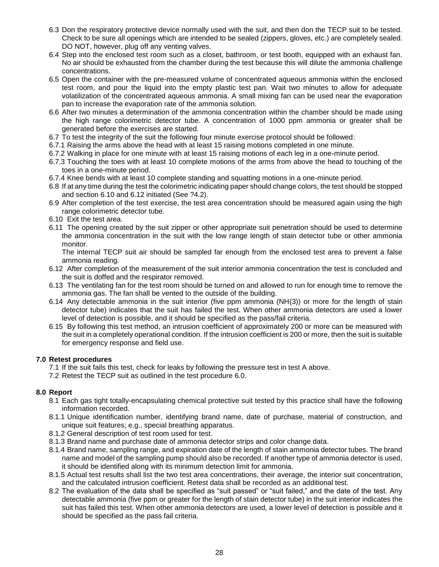- 6.3 Don the respiratory protective device normally used with the suit, and then don the TECP suit to be tested. Check to be sure all openings which are intended to be sealed (zippers, gloves, etc.) are completely sealed. DO NOT, however, plug off any venting valves.
- 6.4 Step into the enclosed test room such as a closet, bathroom, or test booth, equipped with an exhaust fan. No air should be exhausted from the chamber during the test because this will dilute the ammonia challenge concentrations.
- 6.5 Open the container with the pre-measured volume of concentrated aqueous ammonia within the enclosed test room, and pour the liquid into the empty plastic test pan. Wait two minutes to allow for adequate volatilization of the concentrated aqueous ammonia. A small mixing fan can be used near the evaporation pan to increase the evaporation rate of the ammonia solution.
- 6.6 After two minutes a determination of the ammonia concentration within the chamber should be made using the high range colorimetric detector tube. A concentration of 1000 ppm ammonia or greater shall be generated before the exercises are started.
- 6.7 To test the integrity of the suit the following four minute exercise protocol should be followed:
- 6.7.1 Raising the arms above the head with at least 15 raising motions completed in one minute.
- 6.7.2 Walking in place for one minute with at least 15 raising motions of each leg in a one-minute period.
- 6.7.3 Touching the toes with at least 10 complete motions of the arms from above the head to touching of the toes in a one-minute period.
- 6.7.4 Knee bends with at least 10 complete standing and squatting motions in a one-minute period.
- 6.8 If at any time during the test the colorimetric indicating paper should change colors, the test should be stopped and section 6.10 and 6.12 initiated (See ?4.2).
- 6.9 After completion of the test exercise, the test area concentration should be measured again using the high range colorimetric detector tube.
- 6.10 Exit the test area.
- 6.11 The opening created by the suit zipper or other appropriate suit penetration should be used to determine the ammonia concentration in the suit with the low range length of stain detector tube or other ammonia monitor.

The internal TECP suit air should be sampled far enough from the enclosed test area to prevent a false ammonia reading.

- 6.12 After completion of the measurement of the suit interior ammonia concentration the test is concluded and the suit is doffed and the respirator removed.
- 6.13 The ventilating fan for the test room should be turned on and allowed to run for enough time to remove the ammonia gas. The fan shall be vented to the outside of the building.
- 6.14 Any detectable ammonia in the suit interior (five ppm ammonia (NH(3)) or more for the length of stain detector tube) indicates that the suit has failed the test. When other ammonia detectors are used a lower level of detection is possible, and it should be specified as the pass/fail criteria.
- 6.15 By following this test method, an intrusion coefficient of approximately 200 or more can be measured with the suit in a completely operational condition. If the intrusion coefficient is 200 or more, then the suit is suitable for emergency response and field use.

## **7.0 Retest procedures**

7.1 If the suit fails this test, check for leaks by following the pressure test in test A above.

7.2 Retest the TECP suit as outlined in the test procedure 6.0.

## **8.0 Report**

- 8.1 Each gas tight totally-encapsulating chemical protective suit tested by this practice shall have the following information recorded.
- 8.1.1 Unique identification number, identifying brand name, date of purchase, material of construction, and unique suit features; e.g., special breathing apparatus.
- 8.1.2 General description of test room used for test.
- 8.1.3 Brand name and purchase date of ammonia detector strips and color change data.
- 8.1.4 Brand name, sampling range, and expiration date of the length of stain ammonia detector tubes. The brand name and model of the sampling pump should also be recorded. If another type of ammonia detector is used, it should be identified along with its minimum detection limit for ammonia.
- 8.1.5 Actual test results shall list the two test area concentrations, their average, the interior suit concentration, and the calculated intrusion coefficient. Retest data shall be recorded as an additional test.
- 8.2 The evaluation of the data shall be specified as "suit passed" or "suit failed," and the date of the test. Any detectable ammonia (five ppm or greater for the length of stain detector tube) in the suit interior indicates the suit has failed this test. When other ammonia detectors are used, a lower level of detection is possible and it should be specified as the pass fail criteria.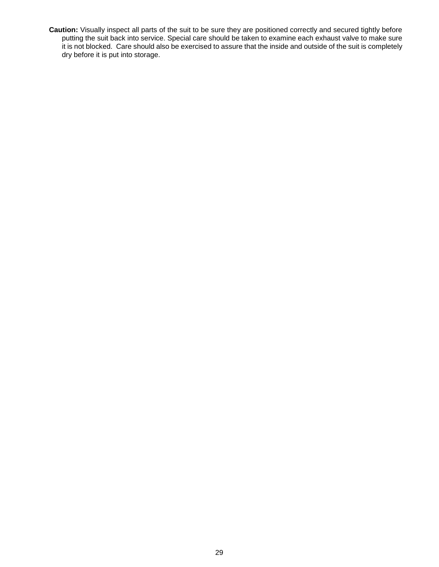**Caution:** Visually inspect all parts of the suit to be sure they are positioned correctly and secured tightly before putting the suit back into service. Special care should be taken to examine each exhaust valve to make sure it is not blocked. Care should also be exercised to assure that the inside and outside of the suit is completely dry before it is put into storage.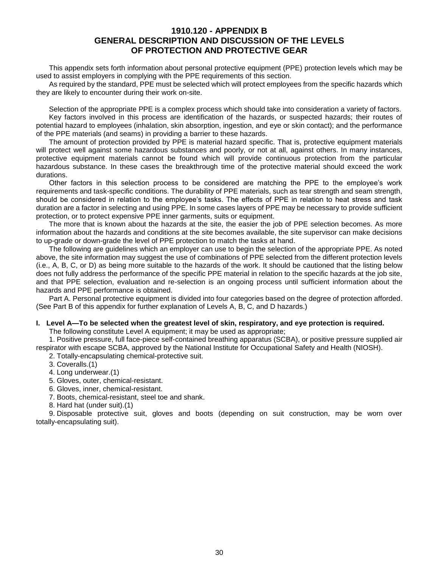## <span id="page-29-0"></span>**1910.120 - APPENDIX B GENERAL DESCRIPTION AND DISCUSSION OF THE LEVELS OF PROTECTION AND PROTECTIVE GEAR**

This appendix sets forth information about personal protective equipment (PPE) protection levels which may be used to assist employers in complying with the PPE requirements of this section.

As required by the standard, PPE must be selected which will protect employees from the specific hazards which they are likely to encounter during their work on-site.

Selection of the appropriate PPE is a complex process which should take into consideration a variety of factors. Key factors involved in this process are identification of the hazards, or suspected hazards; their routes of potential hazard to employees (inhalation, skin absorption, ingestion, and eye or skin contact); and the performance of the PPE materials (and seams) in providing a barrier to these hazards.

The amount of protection provided by PPE is material hazard specific. That is, protective equipment materials will protect well against some hazardous substances and poorly, or not at all, against others. In many instances, protective equipment materials cannot be found which will provide continuous protection from the particular hazardous substance. In these cases the breakthrough time of the protective material should exceed the work durations.

Other factors in this selection process to be considered are matching the PPE to the employee's work requirements and task-specific conditions. The durability of PPE materials, such as tear strength and seam strength, should be considered in relation to the employee's tasks. The effects of PPE in relation to heat stress and task duration are a factor in selecting and using PPE. In some cases layers of PPE may be necessary to provide sufficient protection, or to protect expensive PPE inner garments, suits or equipment.

The more that is known about the hazards at the site, the easier the job of PPE selection becomes. As more information about the hazards and conditions at the site becomes available, the site supervisor can make decisions to up-grade or down-grade the level of PPE protection to match the tasks at hand.

The following are guidelines which an employer can use to begin the selection of the appropriate PPE. As noted above, the site information may suggest the use of combinations of PPE selected from the different protection levels (i.e., A, B, C, or D) as being more suitable to the hazards of the work. It should be cautioned that the listing below does not fully address the performance of the specific PPE material in relation to the specific hazards at the job site, and that PPE selection, evaluation and re-selection is an ongoing process until sufficient information about the hazards and PPE performance is obtained.

Part A. Personal protective equipment is divided into four categories based on the degree of protection afforded. (See Part B of this appendix for further explanation of Levels A, B, C, and D hazards.)

#### **I. Level A—To be selected when the greatest level of skin, respiratory, and eye protection is required.**

The following constitute Level A equipment; it may be used as appropriate;

1. Positive pressure, full face-piece self-contained breathing apparatus (SCBA), or positive pressure supplied air respirator with escape SCBA, approved by the National Institute for Occupational Safety and Health (NIOSH).

2. Totally-encapsulating chemical-protective suit.

3. Coveralls.(1)

4. Long underwear.(1)

5. Gloves, outer, chemical-resistant.

6. Gloves, inner, chemical-resistant.

7. Boots, chemical-resistant, steel toe and shank.

8. Hard hat (under suit).(1)

9. Disposable protective suit, gloves and boots (depending on suit construction, may be worn over totally-encapsulating suit).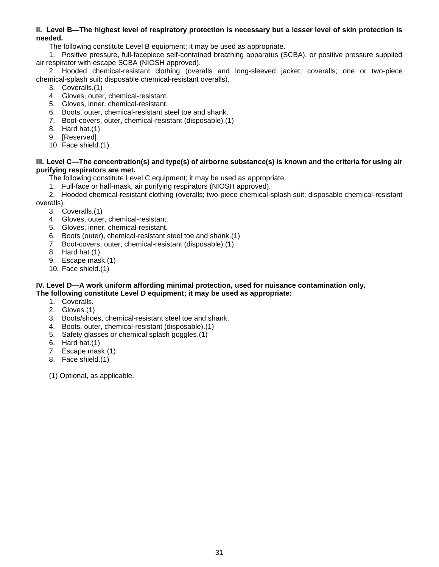#### **II. Level B—The highest level of respiratory protection is necessary but a lesser level of skin protection is needed.**

The following constitute Level B equipment; it may be used as appropriate.

1. Positive pressure, full-facepiece self-contained breathing apparatus (SCBA), or positive pressure supplied air respirator with escape SCBA (NIOSH approved).

2. Hooded chemical-resistant clothing (overalls and long-sleeved jacket; coveralls; one or two-piece chemical-splash suit; disposable chemical-resistant overalls).

- 3. Coveralls.(1)
- 4. Gloves, outer, chemical-resistant.
- 5. Gloves, inner, chemical-resistant.
- 6. Boots, outer, chemical-resistant steel toe and shank.
- 7. Boot-covers, outer, chemical-resistant (disposable).(1)
- 8. Hard hat.(1)
- 9. [Reserved]
- 10. Face shield.(1)

#### **III. Level C—The concentration(s) and type(s) of airborne substance(s) is known and the criteria for using air purifying respirators are met.**

The following constitute Level C equipment; it may be used as appropriate.

1. Full-face or half-mask, air purifying respirators (NIOSH approved).

2. Hooded chemical-resistant clothing (overalls; two-piece chemical-splash suit; disposable chemical-resistant overalls).

- 3. Coveralls.(1)
- 4. Gloves, outer, chemical-resistant.
- 5. Gloves, inner, chemical-resistant.
- 6. Boots (outer), chemical-resistant steel toe and shank.(1)
- 7. Boot-covers, outer, chemical-resistant (disposable).(1)
- 8. Hard hat.(1)
- 9. Escape mask.(1)
- 10. Face shield.(1)

#### **IV. Level D—A work uniform affording minimal protection, used for nuisance contamination only. The following constitute Level D equipment; it may be used as appropriate:**

- 1. Coveralls.
- 2. Gloves.(1)
- 3. Boots/shoes, chemical-resistant steel toe and shank.
- 4. Boots, outer, chemical-resistant (disposable).(1)
- 5. Safety glasses or chemical splash goggles.(1)
- 6. Hard hat.(1)
- 7. Escape mask.(1)
- 8. Face shield.(1)

(1) Optional, as applicable.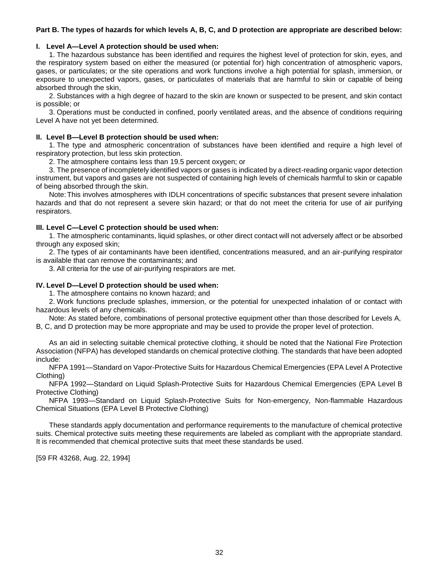#### **Part B. The types of hazards for which levels A, B, C, and D protection are appropriate are described below:**

#### **I. Level A—Level A protection should be used when:**

1. The hazardous substance has been identified and requires the highest level of protection for skin, eyes, and the respiratory system based on either the measured (or potential for) high concentration of atmospheric vapors, gases, or particulates; or the site operations and work functions involve a high potential for splash, immersion, or exposure to unexpected vapors, gases, or particulates of materials that are harmful to skin or capable of being absorbed through the skin,

2. Substances with a high degree of hazard to the skin are known or suspected to be present, and skin contact is possible; or

3. Operations must be conducted in confined, poorly ventilated areas, and the absence of conditions requiring Level A have not yet been determined.

#### **II. Level B—Level B protection should be used when:**

1. The type and atmospheric concentration of substances have been identified and require a high level of respiratory protection, but less skin protection.

2. The atmosphere contains less than 19.5 percent oxygen; or

3. The presence of incompletely identified vapors or gases is indicated by a direct-reading organic vapor detection instrument, but vapors and gases are not suspected of containing high levels of chemicals harmful to skin or capable of being absorbed through the skin.

Note:This involves atmospheres with IDLH concentrations of specific substances that present severe inhalation hazards and that do not represent a severe skin hazard; or that do not meet the criteria for use of air purifying respirators.

#### **III. Level C—Level C protection should be used when:**

1. The atmospheric contaminants, liquid splashes, or other direct contact will not adversely affect or be absorbed through any exposed skin;

2. The types of air contaminants have been identified, concentrations measured, and an air-purifying respirator is available that can remove the contaminants; and

3. All criteria for the use of air-purifying respirators are met.

#### **IV. Level D—Level D protection should be used when:**

1. The atmosphere contains no known hazard; and

2. Work functions preclude splashes, immersion, or the potential for unexpected inhalation of or contact with hazardous levels of any chemicals.

Note: As stated before, combinations of personal protective equipment other than those described for Levels A,

B, C, and D protection may be more appropriate and may be used to provide the proper level of protection.

As an aid in selecting suitable chemical protective clothing, it should be noted that the National Fire Protection Association (NFPA) has developed standards on chemical protective clothing. The standards that have been adopted include:

NFPA 1991—Standard on Vapor-Protective Suits for Hazardous Chemical Emergencies (EPA Level A Protective Clothing)

NFPA 1992—Standard on Liquid Splash-Protective Suits for Hazardous Chemical Emergencies (EPA Level B Protective Clothing)

NFPA 1993—Standard on Liquid Splash-Protective Suits for Non-emergency, Non-flammable Hazardous Chemical Situations (EPA Level B Protective Clothing)

These standards apply documentation and performance requirements to the manufacture of chemical protective suits. Chemical protective suits meeting these requirements are labeled as compliant with the appropriate standard. It is recommended that chemical protective suits that meet these standards be used.

[59 FR 43268, Aug. 22, 1994]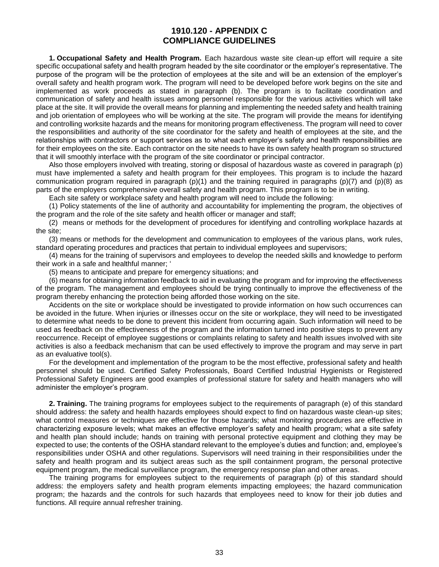## <span id="page-32-0"></span>**1910.120 - APPENDIX C COMPLIANCE GUIDELINES**

**1. Occupational Safety and Health Program.** Each hazardous waste site clean-up effort will require a site specific occupational safety and health program headed by the site coordinator or the employer's representative. The purpose of the program will be the protection of employees at the site and will be an extension of the employer's overall safety and health program work. The program will need to be developed before work begins on the site and implemented as work proceeds as stated in paragraph (b). The program is to facilitate coordination and communication of safety and health issues among personnel responsible for the various activities which will take place at the site. It will provide the overall means for planning and implementing the needed safety and health training and job orientation of employees who will be working at the site. The program will provide the means for identifying and controlling worksite hazards and the means for monitoring program effectiveness. The program will need to cover the responsibilities and authority of the site coordinator for the safety and health of employees at the site, and the relationships with contractors or support services as to what each employer's safety and health responsibilities are for their employees on the site. Each contractor on the site needs to have its own safety health program so structured that it will smoothly interface with the program of the site coordinator or principal contractor.

Also those employers involved with treating, storing or disposal of hazardous waste as covered in paragraph (p) must have implemented a safety and health program for their employees. This program is to include the hazard communication program required in paragraph  $(p)(1)$  and the training required in paragraphs  $(p)(7)$  and  $(p)(8)$  as parts of the employers comprehensive overall safety and health program. This program is to be in writing.

Each site safety or workplace safety and health program will need to include the following:

(1) Policy statements of the line of authority and accountability for implementing the program, the objectives of the program and the role of the site safety and health officer or manager and staff;

(2) means or methods for the development of procedures for identifying and controlling workplace hazards at the site;

(3) means or methods for the development and communication to employees of the various plans, work rules, standard operating procedures and practices that pertain to individual employees and supervisors;

(4) means for the training of supervisors and employees to develop the needed skills and knowledge to perform their work in a safe and healthful manner; '

(5) means to anticipate and prepare for emergency situations; and

(6) means for obtaining information feedback to aid in evaluating the program and for improving the effectiveness of the program. The management and employees should be trying continually to improve the effectiveness of the program thereby enhancing the protection being afforded those working on the site.

Accidents on the site or workplace should be investigated to provide information on how such occurrences can be avoided in the future. When injuries or illnesses occur on the site or workplace, they will need to be investigated to determine what needs to be done to prevent this incident from occurring again. Such information will need to be used as feedback on the effectiveness of the program and the information turned into positive steps to prevent any reoccurrence. Receipt of employee suggestions or complaints relating to safety and health issues involved with site activities is also a feedback mechanism that can be used effectively to improve the program and may serve in part as an evaluative tool(s).

For the development and implementation of the program to be the most effective, professional safety and health personnel should be used. Certified Safety Professionals, Board Certified Industrial Hygienists or Registered Professional Safety Engineers are good examples of professional stature for safety and health managers who will administer the employer's program.

**2. Training.** The training programs for employees subject to the requirements of paragraph (e) of this standard should address: the safety and health hazards employees should expect to find on hazardous waste clean-up sites; what control measures or techniques are effective for those hazards; what monitoring procedures are effective in characterizing exposure levels; what makes an effective employer's safety and health program; what a site safety and health plan should include; hands on training with personal protective equipment and clothing they may be expected to use; the contents of the OSHA standard relevant to the employee's duties and function; and, employee's responsibilities under OSHA and other regulations. Supervisors will need training in their responsibilities under the safety and health program and its subject areas such as the spill containment program, the personal protective equipment program, the medical surveillance program, the emergency response plan and other areas.

The training programs for employees subject to the requirements of paragraph (p) of this standard should address: the employers safety and health program elements impacting employees; the hazard communication program; the hazards and the controls for such hazards that employees need to know for their job duties and functions. All require annual refresher training.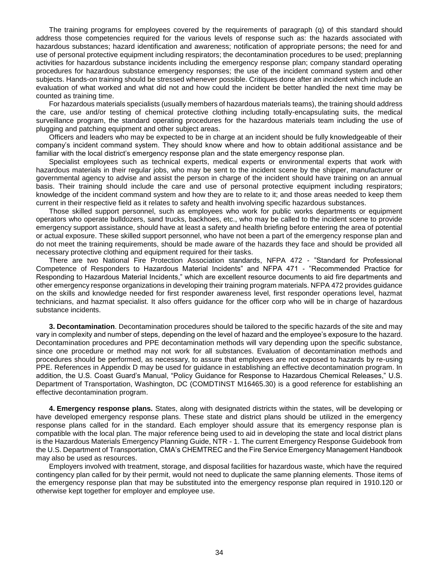The training programs for employees covered by the requirements of paragraph (q) of this standard should address those competencies required for the various levels of response such as: the hazards associated with hazardous substances; hazard identification and awareness; notification of appropriate persons; the need for and use of personal protective equipment including respirators; the decontamination procedures to be used; preplanning activities for hazardous substance incidents including the emergency response plan; company standard operating procedures for hazardous substance emergency responses; the use of the incident command system and other subjects. Hands-on training should be stressed whenever possible. Critiques done after an incident which include an evaluation of what worked and what did not and how could the incident be better handled the next time may be counted as training time.

For hazardous materials specialists (usually members of hazardous materials teams), the training should address the care, use and/or testing of chemical protective clothing including totally-encapsulating suits, the medical surveillance program, the standard operating procedures for the hazardous materials team including the use of plugging and patching equipment and other subject areas.

Officers and leaders who may be expected to be in charge at an incident should be fully knowledgeable of their company's incident command system. They should know where and how to obtain additional assistance and be familiar with the local district's emergency response plan and the state emergency response plan.

Specialist employees such as technical experts, medical experts or environmental experts that work with hazardous materials in their regular jobs, who may be sent to the incident scene by the shipper, manufacturer or governmental agency to advise and assist the person in charge of the incident should have training on an annual basis. Their training should include the care and use of personal protective equipment including respirators; knowledge of the incident command system and how they are to relate to it; and those areas needed to keep them current in their respective field as it relates to safety and health involving specific hazardous substances.

Those skilled support personnel, such as employees who work for public works departments or equipment operators who operate bulldozers, sand trucks, backhoes, etc., who may be called to the incident scene to provide emergency support assistance, should have at least a safety and health briefing before entering the area of potential or actual exposure. These skilled support personnel, who have not been a part of the emergency response plan and do not meet the training requirements, should be made aware of the hazards they face and should be provided all necessary protective clothing and equipment required for their tasks.

There are two National Fire Protection Association standards, NFPA 472 - "Standard for Professional Competence of Responders to Hazardous Material Incidents" and NFPA 471 - "Recommended Practice for Responding to Hazardous Material Incidents," which are excellent resource documents to aid fire departments and other emergency response organizations in developing their training program materials. NFPA 472 provides guidance on the skills and knowledge needed for first responder awareness level, first responder operations level, hazmat technicians, and hazmat specialist. It also offers guidance for the officer corp who will be in charge of hazardous substance incidents.

**3. Decontamination**. Decontamination procedures should be tailored to the specific hazards of the site and may vary in complexity and number of steps, depending on the level of hazard and the employee's exposure to the hazard. Decontamination procedures and PPE decontamination methods will vary depending upon the specific substance, since one procedure or method may not work for all substances. Evaluation of decontamination methods and procedures should be performed, as necessary, to assure that employees are not exposed to hazards by re-using PPE. References in Appendix D may be used for guidance in establishing an effective decontamination program. In addition, the U.S. Coast Guard's Manual, "Policy Guidance for Response to Hazardous Chemical Releases," U.S. Department of Transportation, Washington, DC (COMDTINST M16465.30) is a good reference for establishing an effective decontamination program.

**4. Emergency response plans.** States, along with designated districts within the states, will be developing or have developed emergency response plans. These state and district plans should be utilized in the emergency response plans called for in the standard. Each employer should assure that its emergency response plan is compatible with the local plan. The major reference being used to aid in developing the state and local district plans is the Hazardous Materials Emergency Planning Guide, NTR - 1. The current Emergency Response Guidebook from the U.S. Department of Transportation, CMA's CHEMTREC and the Fire Service Emergency Management Handbook may also be used as resources.

Employers involved with treatment, storage, and disposal facilities for hazardous waste, which have the required contingency plan called for by their permit, would not need to duplicate the same planning elements. Those items of the emergency response plan that may be substituted into the emergency response plan required in 1910.120 or otherwise kept together for employer and employee use.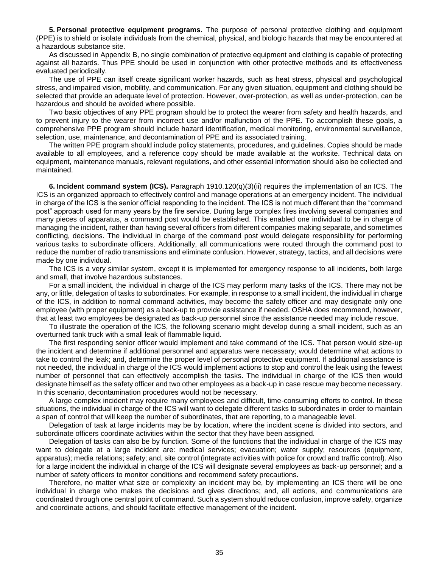**5. Personal protective equipment programs.** The purpose of personal protective clothing and equipment (PPE) is to shield or isolate individuals from the chemical, physical, and biologic hazards that may be encountered at a hazardous substance site.

As discussed in Appendix B, no single combination of protective equipment and clothing is capable of protecting against all hazards. Thus PPE should be used in conjunction with other protective methods and its effectiveness evaluated periodically.

The use of PPE can itself create significant worker hazards, such as heat stress, physical and psychological stress, and impaired vision, mobility, and communication. For any given situation, equipment and clothing should be selected that provide an adequate level of protection. However, over-protection, as well as under-protection, can be hazardous and should be avoided where possible.

Two basic objectives of any PPE program should be to protect the wearer from safety and health hazards, and to prevent injury to the wearer from incorrect use and/or malfunction of the PPE. To accomplish these goals, a comprehensive PPE program should include hazard identification, medical monitoring, environmental surveillance, selection, use, maintenance, and decontamination of PPE and its associated training.

The written PPE program should include policy statements, procedures, and guidelines. Copies should be made available to all employees, and a reference copy should be made available at the worksite. Technical data on equipment, maintenance manuals, relevant regulations, and other essential information should also be collected and maintained.

**6. Incident command system (ICS).** Paragraph 1910.120(q)(3)(ii) requires the implementation of an ICS. The ICS is an organized approach to effectively control and manage operations at an emergency incident. The individual in charge of the ICS is the senior official responding to the incident. The ICS is not much different than the "command post" approach used for many years by the fire service. During large complex fires involving several companies and many pieces of apparatus, a command post would be established. This enabled one individual to be in charge of managing the incident, rather than having several officers from different companies making separate, and sometimes conflicting, decisions. The individual in charge of the command post would delegate responsibility for performing various tasks to subordinate officers. Additionally, all communications were routed through the command post to reduce the number of radio transmissions and eliminate confusion. However, strategy, tactics, and all decisions were made by one individual.

The ICS is a very similar system, except it is implemented for emergency response to all incidents, both large and small, that involve hazardous substances.

For a small incident, the individual in charge of the ICS may perform many tasks of the ICS. There may not be any, or little, delegation of tasks to subordinates. For example, in response to a small incident, the individual in charge of the ICS, in addition to normal command activities, may become the safety officer and may designate only one employee (with proper equipment) as a back-up to provide assistance if needed. OSHA does recommend, however, that at least two employees be designated as back-up personnel since the assistance needed may include rescue.

To illustrate the operation of the ICS, the following scenario might develop during a small incident, such as an overturned tank truck with a small leak of flammable liquid.

The first responding senior officer would implement and take command of the ICS. That person would size-up the incident and determine if additional personnel and apparatus were necessary; would determine what actions to take to control the leak; and, determine the proper level of personal protective equipment. If additional assistance is not needed, the individual in charge of the ICS would implement actions to stop and control the leak using the fewest number of personnel that can effectively accomplish the tasks. The individual in charge of the ICS then would designate himself as the safety officer and two other employees as a back-up in case rescue may become necessary. In this scenario, decontamination procedures would not be necessary.

A large complex incident may require many employees and difficult, time-consuming efforts to control. In these situations, the individual in charge of the ICS will want to delegate different tasks to subordinates in order to maintain a span of control that will keep the number of subordinates, that are reporting, to a manageable level.

Delegation of task at large incidents may be by location, where the incident scene is divided into sectors, and subordinate officers coordinate activities within the sector that they have been assigned.

Delegation of tasks can also be by function. Some of the functions that the individual in charge of the ICS may want to delegate at a large incident are: medical services; evacuation; water supply; resources (equipment, apparatus); media relations; safety; and, site control (integrate activities with police for crowd and traffic control). Also for a large incident the individual in charge of the ICS will designate several employees as back-up personnel; and a number of safety officers to monitor conditions and recommend safety precautions.

Therefore, no matter what size or complexity an incident may be, by implementing an ICS there will be one individual in charge who makes the decisions and gives directions; and, all actions, and communications are coordinated through one central point of command. Such a system should reduce confusion, improve safety, organize and coordinate actions, and should facilitate effective management of the incident.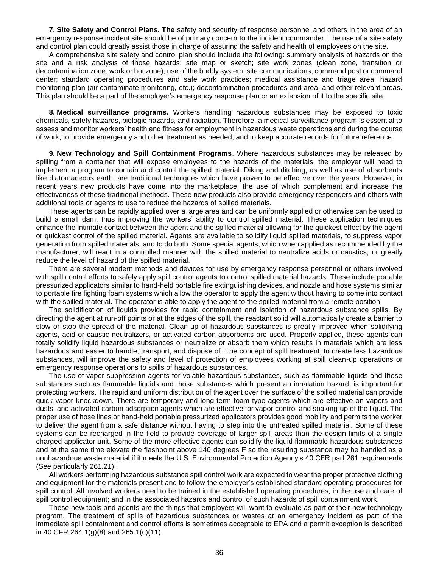**7. Site Safety and Control Plans. The** safety and security of response personnel and others in the area of an emergency response incident site should be of primary concern to the incident commander. The use of a site safety and control plan could greatly assist those in charge of assuring the safety and health of employees on the site.

A comprehensive site safety and control plan should include the following: summary analysis of hazards on the site and a risk analysis of those hazards; site map or sketch; site work zones (clean zone, transition or decontamination zone, work or hot zone); use of the buddy system; site communications; command post or command center; standard operating procedures and safe work practices; medical assistance and triage area; hazard monitoring plan (air contaminate monitoring, etc.); decontamination procedures and area; and other relevant areas. This plan should be a part of the employer's emergency response plan or an extension of it to the specific site.

**8. Medical surveillance programs.** Workers handling hazardous substances may be exposed to toxic chemicals, safety hazards, biologic hazards, and radiation. Therefore, a medical surveillance program is essential to assess and monitor workers' health and fitness for employment in hazardous waste operations and during the course of work; to provide emergency and other treatment as needed; and to keep accurate records for future reference.

**9. New Technology and Spill Containment Programs**. Where hazardous substances may be released by spilling from a container that will expose employees to the hazards of the materials, the employer will need to implement a program to contain and control the spilled material. Diking and ditching, as well as use of absorbents like diatomaceous earth, are traditional techniques which have proven to be effective over the years. However, in recent years new products have come into the marketplace, the use of which complement and increase the effectiveness of these traditional methods. These new products also provide emergency responders and others with additional tools or agents to use to reduce the hazards of spilled materials.

These agents can be rapidly applied over a large area and can be uniformly applied or otherwise can be used to build a small dam, thus improving the workers' ability to control spilled material. These application techniques enhance the intimate contact between the agent and the spilled material allowing for the quickest effect by the agent or quickest control of the spilled material. Agents are available to solidify liquid spilled materials, to suppress vapor generation from spilled materials, and to do both. Some special agents, which when applied as recommended by the manufacturer, will react in a controlled manner with the spilled material to neutralize acids or caustics, or greatly reduce the level of hazard of the spilled material.

There are several modern methods and devices for use by emergency response personnel or others involved with spill control efforts to safely apply spill control agents to control spilled material hazards. These include portable pressurized applicators similar to hand-held portable fire extinguishing devices, and nozzle and hose systems similar to portable fire fighting foam systems which allow the operator to apply the agent without having to come into contact with the spilled material. The operator is able to apply the agent to the spilled material from a remote position.

The solidification of liquids provides for rapid containment and isolation of hazardous substance spills. By directing the agent at run-off points or at the edges of the spill, the reactant solid will automatically create a barrier to slow or stop the spread of the material. Clean-up of hazardous substances is greatly improved when solidifying agents, acid or caustic neutralizers, or activated carbon absorbents are used. Properly applied, these agents can totally solidify liquid hazardous substances or neutralize or absorb them which results in materials which are less hazardous and easier to handle, transport, and dispose of. The concept of spill treatment, to create less hazardous substances, will improve the safety and level of protection of employees working at spill clean-up operations or emergency response operations to spills of hazardous substances.

The use of vapor suppression agents for volatile hazardous substances, such as flammable liquids and those substances such as flammable liquids and those substances which present an inhalation hazard, is important for protecting workers. The rapid and uniform distribution of the agent over the surface of the spilled material can provide quick vapor knockdown. There are temporary and long-term foam-type agents which are effective on vapors and dusts, and activated carbon adsorption agents which are effective for vapor control and soaking-up of the liquid. The proper use of hose lines or hand-held portable pressurized applicators provides good mobility and permits the worker to deliver the agent from a safe distance without having to step into the untreated spilled material. Some of these systems can be recharged in the field to provide coverage of larger spill areas than the design limits of a single charged applicator unit. Some of the more effective agents can solidify the liquid flammable hazardous substances and at the same time elevate the flashpoint above 140 degrees F so the resulting substance may be handled as a nonhazardous waste material if it meets the U.S. Environmental Protection Agency's 40 CFR part 261 requirements (See particularly 261.21).

All workers performing hazardous substance spill control work are expected to wear the proper protective clothing and equipment for the materials present and to follow the employer's established standard operating procedures for spill control. All involved workers need to be trained in the established operating procedures; in the use and care of spill control equipment; and in the associated hazards and control of such hazards of spill containment work.

These new tools and agents are the things that employers will want to evaluate as part of their new technology program. The treatment of spills of hazardous substances or wastes at an emergency incident as part of the immediate spill containment and control efforts is sometimes acceptable to EPA and a permit exception is described in 40 CFR 264.1(g)(8) and 265.1(c)(11).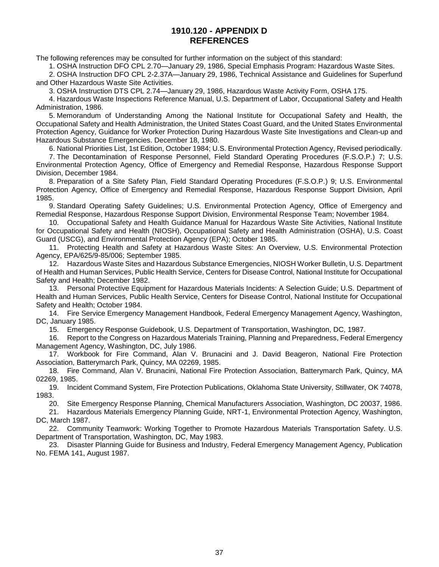## <span id="page-36-0"></span>**1910.120 - APPENDIX D REFERENCES**

The following references may be consulted for further information on the subject of this standard:

1. OSHA Instruction DFO CPL 2.70—January 29, 1986, Special Emphasis Program: Hazardous Waste Sites.

2. OSHA Instruction DFO CPL 2-2.37A—January 29, 1986, Technical Assistance and Guidelines for Superfund and Other Hazardous Waste Site Activities.

3. OSHA Instruction DTS CPL 2.74—January 29, 1986, Hazardous Waste Activity Form, OSHA 175.

4. Hazardous Waste Inspections Reference Manual, U.S. Department of Labor, Occupational Safety and Health Administration, 1986.

5. Memorandum of Understanding Among the National Institute for Occupational Safety and Health, the Occupational Safety and Health Administration, the United States Coast Guard, and the United States Environmental Protection Agency, Guidance for Worker Protection During Hazardous Waste Site Investigations and Clean-up and Hazardous Substance Emergencies. December 18, 1980.

6. National Priorities List, 1st Edition, October 1984; U.S. Environmental Protection Agency, Revised periodically.

7. The Decontamination of Response Personnel, Field Standard Operating Procedures (F.S.O.P.) 7; U.S. Environmental Protection Agency, Office of Emergency and Remedial Response, Hazardous Response Support Division, December 1984.

8. Preparation of a Site Safety Plan, Field Standard Operating Procedures (F.S.O.P.) 9; U.S. Environmental Protection Agency, Office of Emergency and Remedial Response, Hazardous Response Support Division, April 1985.

9. Standard Operating Safety Guidelines; U.S. Environmental Protection Agency, Office of Emergency and Remedial Response, Hazardous Response Support Division, Environmental Response Team; November 1984.

10. Occupational Safety and Health Guidance Manual for Hazardous Waste Site Activities, National Institute for Occupational Safety and Health (NIOSH), Occupational Safety and Health Administration (OSHA), U.S. Coast Guard (USCG), and Environmental Protection Agency (EPA); October 1985.

11. Protecting Health and Safety at Hazardous Waste Sites: An Overview, U.S. Environmental Protection Agency, EPA/625/9-85/006; September 1985.

12. Hazardous Waste Sites and Hazardous Substance Emergencies, NIOSH Worker Bulletin, U.S. Department of Health and Human Services, Public Health Service, Centers for Disease Control, National Institute for Occupational Safety and Health; December 1982.

13. Personal Protective Equipment for Hazardous Materials Incidents: A Selection Guide; U.S. Department of Health and Human Services, Public Health Service, Centers for Disease Control, National Institute for Occupational Safety and Health; October 1984.

14. Fire Service Emergency Management Handbook, Federal Emergency Management Agency, Washington, DC, January 1985.

15. Emergency Response Guidebook, U.S. Department of Transportation, Washington, DC, 1987.

16. Report to the Congress on Hazardous Materials Training, Planning and Preparedness, Federal Emergency Management Agency, Washington, DC, July 1986.

17. Workbook for Fire Command, Alan V. Brunacini and J. David Beageron, National Fire Protection Association, Batterymarch Park, Quincy, MA 02269, 1985.

18. Fire Command, Alan V. Brunacini, National Fire Protection Association, Batterymarch Park, Quincy, MA 02269, 1985.

19. Incident Command System, Fire Protection Publications, Oklahoma State University, Stillwater, OK 74078, 1983.

20. Site Emergency Response Planning, Chemical Manufacturers Association, Washington, DC 20037, 1986.

21. Hazardous Materials Emergency Planning Guide, NRT-1, Environmental Protection Agency, Washington, DC, March 1987.

22. Community Teamwork: Working Together to Promote Hazardous Materials Transportation Safety. U.S. Department of Transportation, Washington, DC, May 1983.

23. Disaster Planning Guide for Business and Industry, Federal Emergency Management Agency, Publication No. FEMA 141, August 1987.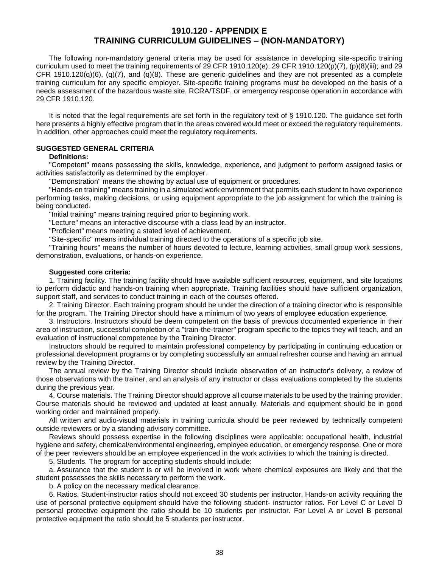## <span id="page-37-0"></span>**1910.120 - APPENDIX E TRAINING CURRICULUM GUIDELINES – (NON-MANDATORY)**

The following non-mandatory general criteria may be used for assistance in developing site-specific training curriculum used to meet the training requirements of 29 CFR 1910.120(e); 29 CFR 1910.120(p)(7), (p)(8)(iii); and 29 CFR 1910.120(q)(6), (q)(7), and (q)(8). These are generic guidelines and they are not presented as a complete training curriculum for any specific employer. Site-specific training programs must be developed on the basis of a needs assessment of the hazardous waste site, RCRA/TSDF, or emergency response operation in accordance with 29 CFR 1910.120.

It is noted that the legal requirements are set forth in the regulatory text of § 1910.120. The guidance set forth here presents a highly effective program that in the areas covered would meet or exceed the regulatory requirements. In addition, other approaches could meet the regulatory requirements.

#### **SUGGESTED GENERAL CRITERIA**

#### **Definitions:**

"Competent" means possessing the skills, knowledge, experience, and judgment to perform assigned tasks or activities satisfactorily as determined by the employer.

"Demonstration" means the showing by actual use of equipment or procedures.

"Hands-on training" means training in a simulated work environment that permits each student to have experience performing tasks, making decisions, or using equipment appropriate to the job assignment for which the training is being conducted.

"Initial training" means training required prior to beginning work.

"Lecture" means an interactive discourse with a class lead by an instructor.

"Proficient" means meeting a stated level of achievement.

"Site-specific" means individual training directed to the operations of a specific job site.

"Training hours" means the number of hours devoted to lecture, learning activities, small group work sessions, demonstration, evaluations, or hands-on experience.

#### **Suggested core criteria:**

1. Training facility. The training facility should have available sufficient resources, equipment, and site locations to perform didactic and hands-on training when appropriate. Training facilities should have sufficient organization, support staff, and services to conduct training in each of the courses offered.

2. Training Director. Each training program should be under the direction of a training director who is responsible for the program. The Training Director should have a minimum of two years of employee education experience.

3. Instructors. Instructors should be deem competent on the basis of previous documented experience in their area of instruction, successful completion of a "train-the-trainer" program specific to the topics they will teach, and an evaluation of instructional competence by the Training Director.

Instructors should be required to maintain professional competency by participating in continuing education or professional development programs or by completing successfully an annual refresher course and having an annual review by the Training Director.

The annual review by the Training Director should include observation of an instructor's delivery, a review of those observations with the trainer, and an analysis of any instructor or class evaluations completed by the students during the previous year.

4. Course materials. The Training Director should approve all course materials to be used by the training provider. Course materials should be reviewed and updated at least annually. Materials and equipment should be in good working order and maintained properly.

All written and audio-visual materials in training curricula should be peer reviewed by technically competent outside reviewers or by a standing advisory committee.

Reviews should possess expertise in the following disciplines were applicable: occupational health, industrial hygiene and safety, chemical/environmental engineering, employee education, or emergency response. One or more of the peer reviewers should be an employee experienced in the work activities to which the training is directed.

5. Students. The program for accepting students should include:

a. Assurance that the student is or will be involved in work where chemical exposures are likely and that the student possesses the skills necessary to perform the work.

b. A policy on the necessary medical clearance.

6. Ratios. Student-instructor ratios should not exceed 30 students per instructor. Hands-on activity requiring the use of personal protective equipment should have the following student- instructor ratios. For Level C or Level D personal protective equipment the ratio should be 10 students per instructor. For Level A or Level B personal protective equipment the ratio should be 5 students per instructor.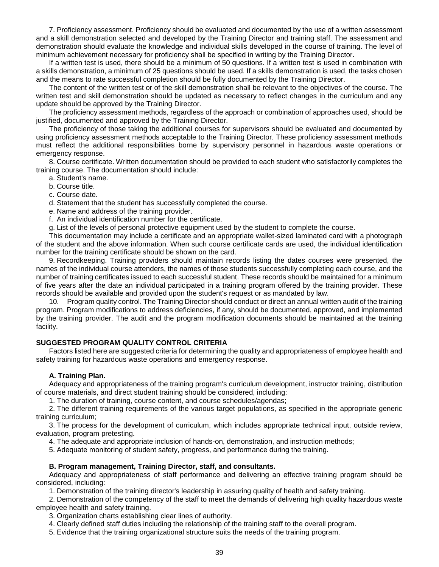7. Proficiency assessment. Proficiency should be evaluated and documented by the use of a written assessment and a skill demonstration selected and developed by the Training Director and training staff. The assessment and demonstration should evaluate the knowledge and individual skills developed in the course of training. The level of minimum achievement necessary for proficiency shall be specified in writing by the Training Director.

If a written test is used, there should be a minimum of 50 questions. If a written test is used in combination with a skills demonstration, a minimum of 25 questions should be used. If a skills demonstration is used, the tasks chosen and the means to rate successful completion should be fully documented by the Training Director.

The content of the written test or of the skill demonstration shall be relevant to the objectives of the course. The written test and skill demonstration should be updated as necessary to reflect changes in the curriculum and any update should be approved by the Training Director.

The proficiency assessment methods, regardless of the approach or combination of approaches used, should be justified, documented and approved by the Training Director.

The proficiency of those taking the additional courses for supervisors should be evaluated and documented by using proficiency assessment methods acceptable to the Training Director. These proficiency assessment methods must reflect the additional responsibilities borne by supervisory personnel in hazardous waste operations or emergency response.

8. Course certificate. Written documentation should be provided to each student who satisfactorily completes the training course. The documentation should include:

- a. Student's name.
- b. Course title.
- c. Course date.
- d. Statement that the student has successfully completed the course.
- e. Name and address of the training provider.
- f. An individual identification number for the certificate.
- g. List of the levels of personal protective equipment used by the student to complete the course.

This documentation may include a certificate and an appropriate wallet-sized laminated card with a photograph of the student and the above information. When such course certificate cards are used, the individual identification number for the training certificate should be shown on the card.

9. Recordkeeping. Training providers should maintain records listing the dates courses were presented, the names of the individual course attenders, the names of those students successfully completing each course, and the number of training certificates issued to each successful student. These records should be maintained for a minimum of five years after the date an individual participated in a training program offered by the training provider. These records should be available and provided upon the student's request or as mandated by law.

10. Program quality control. The Training Director should conduct or direct an annual written audit of the training program. Program modifications to address deficiencies, if any, should be documented, approved, and implemented by the training provider. The audit and the program modification documents should be maintained at the training facility.

#### **SUGGESTED PROGRAM QUALITY CONTROL CRITERIA**

Factors listed here are suggested criteria for determining the quality and appropriateness of employee health and safety training for hazardous waste operations and emergency response.

#### **A. Training Plan.**

Adequacy and appropriateness of the training program's curriculum development, instructor training, distribution of course materials, and direct student training should be considered, including:

1. The duration of training, course content, and course schedules/agendas;

2. The different training requirements of the various target populations, as specified in the appropriate generic training curriculum;

3. The process for the development of curriculum, which includes appropriate technical input, outside review, evaluation, program pretesting.

4. The adequate and appropriate inclusion of hands-on, demonstration, and instruction methods;

5. Adequate monitoring of student safety, progress, and performance during the training.

#### **B. Program management, Training Director, staff, and consultants.**

Adequacy and appropriateness of staff performance and delivering an effective training program should be considered, including:

1. Demonstration of the training director's leadership in assuring quality of health and safety training.

2. Demonstration of the competency of the staff to meet the demands of delivering high quality hazardous waste employee health and safety training.

3. Organization charts establishing clear lines of authority.

4. Clearly defined staff duties including the relationship of the training staff to the overall program.

5. Evidence that the training organizational structure suits the needs of the training program.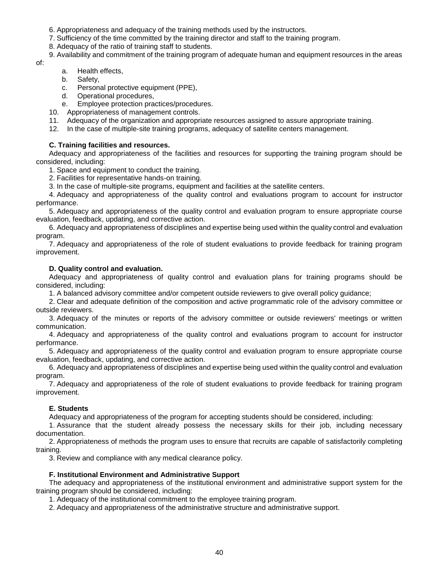- 6. Appropriateness and adequacy of the training methods used by the instructors.
- 7. Sufficiency of the time committed by the training director and staff to the training program.
- 8. Adequacy of the ratio of training staff to students.

9. Availability and commitment of the training program of adequate human and equipment resources in the areas

of:

- a. Health effects,
- b. Safety,
- c. Personal protective equipment (PPE),
- d. Operational procedures,
- e. Employee protection practices/procedures.
- 10. Appropriateness of management controls.
- 11. Adequacy of the organization and appropriate resources assigned to assure appropriate training.
- 12. In the case of multiple-site training programs, adequacy of satellite centers management.

#### **C. Training facilities and resources.**

Adequacy and appropriateness of the facilities and resources for supporting the training program should be considered, including:

1. Space and equipment to conduct the training.

2. Facilities for representative hands-on training.

3. In the case of multiple-site programs, equipment and facilities at the satellite centers.

4. Adequacy and appropriateness of the quality control and evaluations program to account for instructor performance.

5. Adequacy and appropriateness of the quality control and evaluation program to ensure appropriate course evaluation, feedback, updating, and corrective action.

6. Adequacy and appropriateness of disciplines and expertise being used within the quality control and evaluation program.

7. Adequacy and appropriateness of the role of student evaluations to provide feedback for training program improvement.

#### **D. Quality control and evaluation.**

Adequacy and appropriateness of quality control and evaluation plans for training programs should be considered, including:

1. A balanced advisory committee and/or competent outside reviewers to give overall policy guidance;

2. Clear and adequate definition of the composition and active programmatic role of the advisory committee or outside reviewers.

3. Adequacy of the minutes or reports of the advisory committee or outside reviewers' meetings or written communication.

4. Adequacy and appropriateness of the quality control and evaluations program to account for instructor performance.

5. Adequacy and appropriateness of the quality control and evaluation program to ensure appropriate course evaluation, feedback, updating, and corrective action.

6. Adequacy and appropriateness of disciplines and expertise being used within the quality control and evaluation program.

7. Adequacy and appropriateness of the role of student evaluations to provide feedback for training program improvement.

## **E. Students**

Adequacy and appropriateness of the program for accepting students should be considered, including:

1. Assurance that the student already possess the necessary skills for their job, including necessary documentation.

2. Appropriateness of methods the program uses to ensure that recruits are capable of satisfactorily completing training.

3. Review and compliance with any medical clearance policy.

## **F. Institutional Environment and Administrative Support**

The adequacy and appropriateness of the institutional environment and administrative support system for the training program should be considered, including:

1. Adequacy of the institutional commitment to the employee training program.

2. Adequacy and appropriateness of the administrative structure and administrative support.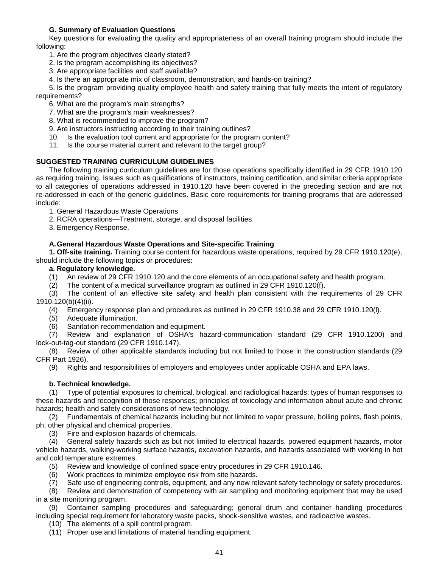## **G. Summary of Evaluation Questions**

Key questions for evaluating the quality and appropriateness of an overall training program should include the following:

1. Are the program objectives clearly stated?

2. Is the program accomplishing its objectives?

3. Are appropriate facilities and staff available?

4. Is there an appropriate mix of classroom, demonstration, and hands-on training?

5. Is the program providing quality employee health and safety training that fully meets the intent of regulatory requirements?

6. What are the program's main strengths?

7. What are the program's main weaknesses?

8. What is recommended to improve the program?

9. Are instructors instructing according to their training outlines?

10. Is the evaluation tool current and appropriate for the program content?

11. Is the course material current and relevant to the target group?

### **SUGGESTED TRAINING CURRICULUM GUIDELINES**

The following training curriculum guidelines are for those operations specifically identified in 29 CFR 1910.120 as requiring training. Issues such as qualifications of instructors, training certification, and similar criteria appropriate to all categories of operations addressed in 1910.120 have been covered in the preceding section and are not re-addressed in each of the generic guidelines. Basic core requirements for training programs that are addressed include:

1. General Hazardous Waste Operations

2. RCRA operations—Treatment, storage, and disposal facilities.

3. Emergency Response.

#### **A.General Hazardous Waste Operations and Site-specific Training**

**1. Off-site training.** Training course content for hazardous waste operations, required by 29 CFR 1910.120(e), should include the following topics or procedures:

#### **a. Regulatory knowledge.**

(1) An review of 29 CFR 1910.120 and the core elements of an occupational safety and health program.

(2) The content of a medical surveillance program as outlined in 29 CFR 1910.120(f).

(3) The content of an effective site safety and health plan consistent with the requirements of 29 CFR 1910.120(b)(4)(ii).

(4) Emergency response plan and procedures as outlined in 29 CFR 1910.38 and 29 CFR 1910.120(l).

(5) Adequate illumination.

(6) Sanitation recommendation and equipment.

(7) Review and explanation of OSHA's hazard-communication standard (29 CFR 1910.1200) and lock-out-tag-out standard (29 CFR 1910.147).

(8) Review of other applicable standards including but not limited to those in the construction standards (29 CFR Part 1926).

(9) Rights and responsibilities of employers and employees under applicable OSHA and EPA laws.

#### **b. Technical knowledge.**

(1) Type of potential exposures to chemical, biological, and radiological hazards; types of human responses to these hazards and recognition of those responses; principles of toxicology and information about acute and chronic hazards; health and safety considerations of new technology.

(2) Fundamentals of chemical hazards including but not limited to vapor pressure, boiling points, flash points, ph, other physical and chemical properties.

(3) Fire and explosion hazards of chemicals.

(4) General safety hazards such as but not limited to electrical hazards, powered equipment hazards, motor vehicle hazards, walking-working surface hazards, excavation hazards, and hazards associated with working in hot and cold temperature extremes.

(5) Review and knowledge of confined space entry procedures in 29 CFR 1910.146.

(6) Work practices to minimize employee risk from site hazards.

(7) Safe use of engineering controls, equipment, and any new relevant safety technology or safety procedures.

(8) Review and demonstration of competency with air sampling and monitoring equipment that may be used in a site monitoring program.

(9) Container sampling procedures and safeguarding; general drum and container handling procedures including special requirement for laboratory waste packs, shock-sensitive wastes, and radioactive wastes.

(10) The elements of a spill control program.

(11) Proper use and limitations of material handling equipment.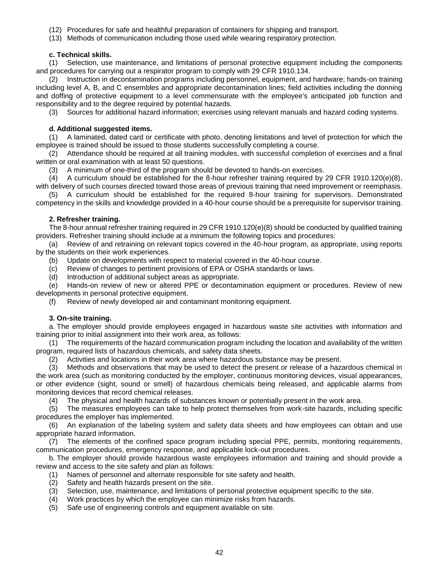- (12) Procedures for safe and healthful preparation of containers for shipping and transport.
- (13) Methods of communication including those used while wearing respiratory protection.

#### **c. Technical skills.**

(1) Selection, use maintenance, and limitations of personal protective equipment including the components and procedures for carrying out a respirator program to comply with 29 CFR 1910.134.

(2) Instruction in decontamination programs including personnel, equipment, and hardware; hands-on training including level A, B, and C ensembles and appropriate decontamination lines; field activities including the donning and doffing of protective equipment to a level commensurate with the employee's anticipated job function and responsibility and to the degree required by potential hazards.

(3) Sources for additional hazard information; exercises using relevant manuals and hazard coding systems.

#### **d. Additional suggested items.**

(1) A laminated, dated card or certificate with photo, denoting limitations and level of protection for which the employee is trained should be issued to those students successfully completing a course.

(2) Attendance should be required at all training modules, with successful completion of exercises and a final written or oral examination with at least 50 questions.

(3) A minimum of one-third of the program should be devoted to hands-on exercises.

(4) A curriculum should be established for the 8-hour refresher training required by 29 CFR 1910.120(e)(8), with delivery of such courses directed toward those areas of previous training that need improvement or reemphasis.

(5) A curriculum should be established for the required 8-hour training for supervisors. Demonstrated competency in the skills and knowledge provided in a 40-hour course should be a prerequisite for supervisor training.

#### **2. Refresher training.**

The 8-hour annual refresher training required in 29 CFR 1910.120(e)(8) should be conducted by qualified training providers. Refresher training should include at a minimum the following topics and procedures:

(a) Review of and retraining on relevant topics covered in the 40-hour program, as appropriate, using reports by the students on their work experiences.

(b) Update on developments with respect to material covered in the 40-hour course.

(c) Review of changes to pertinent provisions of EPA or OSHA standards or laws.

(d) Introduction of additional subject areas as appropriate.

(e) Hands-on review of new or altered PPE or decontamination equipment or procedures. Review of new developments in personal protective equipment.

(f) Review of newly developed air and contaminant monitoring equipment.

## **3. On-site training.**

a. The employer should provide employees engaged in hazardous waste site activities with information and training prior to initial assignment into their work area, as follows:

(1) The requirements of the hazard communication program including the location and availability of the written program, required lists of hazardous chemicals, and safety data sheets.

(2) Activities and locations in their work area where hazardous substance may be present.

(3) Methods and observations that may be used to detect the present or release of a hazardous chemical in the work area (such as monitoring conducted by the employer, continuous monitoring devices, visual appearances, or other evidence (sight, sound or smell) of hazardous chemicals being released, and applicable alarms from monitoring devices that record chemical releases.

(4) The physical and health hazards of substances known or potentially present in the work area.

(5) The measures employees can take to help protect themselves from work-site hazards, including specific procedures the employer has implemented.

(6) An explanation of the labeling system and safety data sheets and how employees can obtain and use appropriate hazard information.

(7) The elements of the confined space program including special PPE, permits, monitoring requirements, communication procedures, emergency response, and applicable lock-out procedures.

b. The employer should provide hazardous waste employees information and training and should provide a review and access to the site safety and plan as follows:

- (1) Names of personnel and alternate responsible for site safety and health.
- (2) Safety and health hazards present on the site.
- (3) Selection, use, maintenance, and limitations of personal protective equipment specific to the site.
- (4) Work practices by which the employee can minimize risks from hazards.
- (5) Safe use of engineering controls and equipment available on site.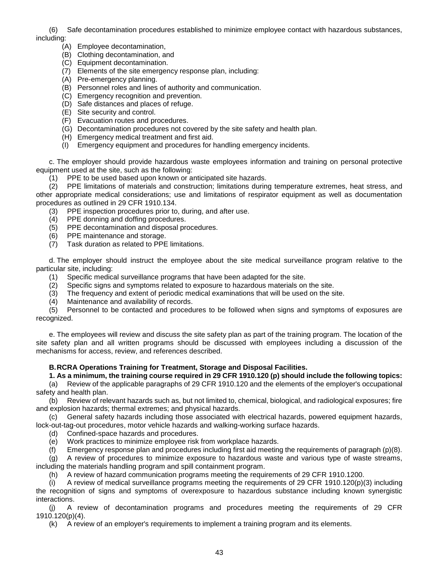(6) Safe decontamination procedures established to minimize employee contact with hazardous substances, including:

- (A) Employee decontamination,
- (B) Clothing decontamination, and
- (C) Equipment decontamination.
- (7) Elements of the site emergency response plan, including:
- (A) Pre-emergency planning.
- (B) Personnel roles and lines of authority and communication.
- (C) Emergency recognition and prevention.
- (D) Safe distances and places of refuge.
- (E) Site security and control.
- (F) Evacuation routes and procedures.
- (G) Decontamination procedures not covered by the site safety and health plan.
- (H) Emergency medical treatment and first aid.
- (I) Emergency equipment and procedures for handling emergency incidents.

c. The employer should provide hazardous waste employees information and training on personal protective equipment used at the site, such as the following:

(1) PPE to be used based upon known or anticipated site hazards.

(2) PPE limitations of materials and construction; limitations during temperature extremes, heat stress, and other appropriate medical considerations; use and limitations of respirator equipment as well as documentation procedures as outlined in 29 CFR 1910.134.

- (3) PPE inspection procedures prior to, during, and after use.
- (4) PPE donning and doffing procedures.
- (5) PPE decontamination and disposal procedures.
- (6) PPE maintenance and storage.
- (7) Task duration as related to PPE limitations.

d. The employer should instruct the employee about the site medical surveillance program relative to the particular site, including:

- (1) Specific medical surveillance programs that have been adapted for the site.
- (2) Specific signs and symptoms related to exposure to hazardous materials on the site.
- (3) The frequency and extent of periodic medical examinations that will be used on the site.
- (4) Maintenance and availability of records.

(5) Personnel to be contacted and procedures to be followed when signs and symptoms of exposures are recognized.

e. The employees will review and discuss the site safety plan as part of the training program. The location of the site safety plan and all written programs should be discussed with employees including a discussion of the mechanisms for access, review, and references described.

## **B.RCRA Operations Training for Treatment, Storage and Disposal Facilities.**

#### **1. As a minimum, the training course required in 29 CFR 1910.120 (p) should include the following topics:**

(a) Review of the applicable paragraphs of 29 CFR 1910.120 and the elements of the employer's occupational safety and health plan.

(b) Review of relevant hazards such as, but not limited to, chemical, biological, and radiological exposures; fire and explosion hazards; thermal extremes; and physical hazards.

(c) General safety hazards including those associated with electrical hazards, powered equipment hazards, lock-out-tag-out procedures, motor vehicle hazards and walking-working surface hazards.

- (d) Confined-space hazards and procedures.
- (e) Work practices to minimize employee risk from workplace hazards.
- (f) Emergency response plan and procedures including first aid meeting the requirements of paragraph (p)(8).

(g) A review of procedures to minimize exposure to hazardous waste and various type of waste streams, including the materials handling program and spill containment program.

(h) A review of hazard communication programs meeting the requirements of 29 CFR 1910.1200.

(i) A review of medical surveillance programs meeting the requirements of 29 CFR 1910.120(p)(3) including the recognition of signs and symptoms of overexposure to hazardous substance including known synergistic interactions.

(j) A review of decontamination programs and procedures meeting the requirements of 29 CFR 1910.120(p)(4).

(k) A review of an employer's requirements to implement a training program and its elements.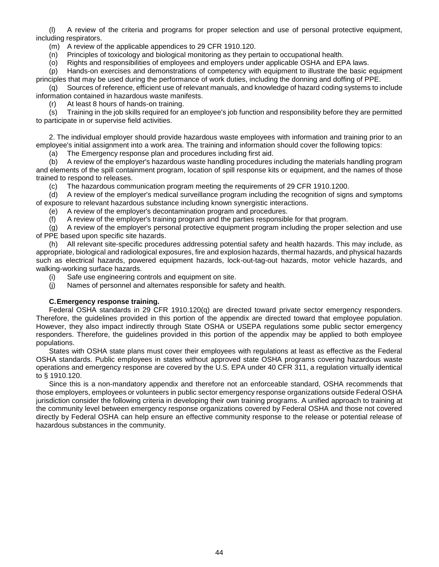(l) A review of the criteria and programs for proper selection and use of personal protective equipment, including respirators.

(m) A review of the applicable appendices to 29 CFR 1910.120.

(n) Principles of toxicology and biological monitoring as they pertain to occupational health.

(o) Rights and responsibilities of employees and employers under applicable OSHA and EPA laws.

(p) Hands-on exercises and demonstrations of competency with equipment to illustrate the basic equipment principles that may be used during the performance of work duties, including the donning and doffing of PPE.

(q) Sources of reference, efficient use of relevant manuals, and knowledge of hazard coding systems to include information contained in hazardous waste manifests.

(r) At least 8 hours of hands-on training.

(s) Training in the job skills required for an employee's job function and responsibility before they are permitted to participate in or supervise field activities.

2. The individual employer should provide hazardous waste employees with information and training prior to an employee's initial assignment into a work area. The training and information should cover the following topics:

(a) The Emergency response plan and procedures including first aid.

(b) A review of the employer's hazardous waste handling procedures including the materials handling program and elements of the spill containment program, location of spill response kits or equipment, and the names of those trained to respond to releases.

(c) The hazardous communication program meeting the requirements of 29 CFR 1910.1200.

(d) A review of the employer's medical surveillance program including the recognition of signs and symptoms of exposure to relevant hazardous substance including known synergistic interactions.

(e) A review of the employer's decontamination program and procedures.

(f) A review of the employer's training program and the parties responsible for that program.

(g) A review of the employer's personal protective equipment program including the proper selection and use of PPE based upon specific site hazards.

(h) All relevant site-specific procedures addressing potential safety and health hazards. This may include, as appropriate, biological and radiological exposures, fire and explosion hazards, thermal hazards, and physical hazards such as electrical hazards, powered equipment hazards, lock-out-tag-out hazards, motor vehicle hazards, and walking-working surface hazards.

(i) Safe use engineering controls and equipment on site.

(j) Names of personnel and alternates responsible for safety and health.

#### **C.Emergency response training.**

Federal OSHA standards in 29 CFR 1910.120(q) are directed toward private sector emergency responders. Therefore, the guidelines provided in this portion of the appendix are directed toward that employee population. However, they also impact indirectly through State OSHA or USEPA regulations some public sector emergency responders. Therefore, the guidelines provided in this portion of the appendix may be applied to both employee populations.

States with OSHA state plans must cover their employees with regulations at least as effective as the Federal OSHA standards. Public employees in states without approved state OSHA programs covering hazardous waste operations and emergency response are covered by the U.S. EPA under 40 CFR 311, a regulation virtually identical to § 1910.120.

Since this is a non-mandatory appendix and therefore not an enforceable standard, OSHA recommends that those employers, employees or volunteers in public sector emergency response organizations outside Federal OSHA jurisdiction consider the following criteria in developing their own training programs. A unified approach to training at the community level between emergency response organizations covered by Federal OSHA and those not covered directly by Federal OSHA can help ensure an effective community response to the release or potential release of hazardous substances in the community.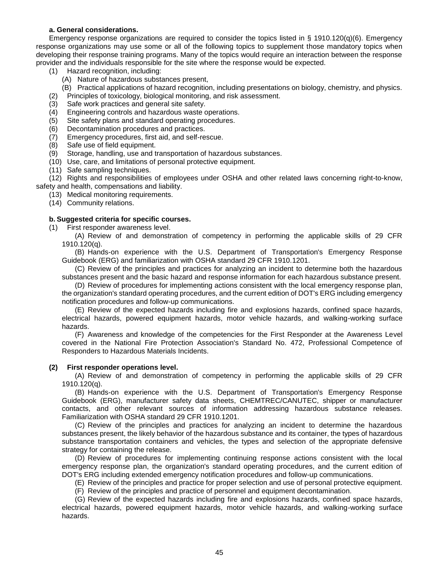#### **a. General considerations.**

Emergency response organizations are required to consider the topics listed in § 1910.120(q)(6). Emergency response organizations may use some or all of the following topics to supplement those mandatory topics when developing their response training programs. Many of the topics would require an interaction between the response provider and the individuals responsible for the site where the response would be expected.

- (1) Hazard recognition, including:
	- (A) Nature of hazardous substances present,
	- (B) Practical applications of hazard recognition, including presentations on biology, chemistry, and physics.
- (2) Principles of toxicology, biological monitoring, and risk assessment.
- (3) Safe work practices and general site safety.
- (4) Engineering controls and hazardous waste operations.
- (5) Site safety plans and standard operating procedures.
- (6) Decontamination procedures and practices.
- (7) Emergency procedures, first aid, and self-rescue.
- (8) Safe use of field equipment.
- (9) Storage, handling, use and transportation of hazardous substances.
- (10) Use, care, and limitations of personal protective equipment.
- (11) Safe sampling techniques.

(12) Rights and responsibilities of employees under OSHA and other related laws concerning right-to-know, safety and health, compensations and liability.

- (13) Medical monitoring requirements.
- (14) Community relations.

#### **b. Suggested criteria for specific courses.**

- (1) First responder awareness level.
	- (A) Review of and demonstration of competency in performing the applicable skills of 29 CFR 1910.120(q).

(B) Hands-on experience with the U.S. Department of Transportation's Emergency Response Guidebook (ERG) and familiarization with OSHA standard 29 CFR 1910.1201.

(C) Review of the principles and practices for analyzing an incident to determine both the hazardous substances present and the basic hazard and response information for each hazardous substance present.

(D) Review of procedures for implementing actions consistent with the local emergency response plan, the organization's standard operating procedures, and the current edition of DOT's ERG including emergency notification procedures and follow-up communications.

(E) Review of the expected hazards including fire and explosions hazards, confined space hazards, electrical hazards, powered equipment hazards, motor vehicle hazards, and walking-working surface hazards.

(F) Awareness and knowledge of the competencies for the First Responder at the Awareness Level covered in the National Fire Protection Association's Standard No. 472, Professional Competence of Responders to Hazardous Materials Incidents.

#### **(2) First responder operations level.**

(A) Review of and demonstration of competency in performing the applicable skills of 29 CFR 1910.120(q).

(B) Hands-on experience with the U.S. Department of Transportation's Emergency Response Guidebook (ERG), manufacturer safety data sheets, CHEMTREC/CANUTEC, shipper or manufacturer contacts, and other relevant sources of information addressing hazardous substance releases. Familiarization with OSHA standard 29 CFR 1910.1201.

(C) Review of the principles and practices for analyzing an incident to determine the hazardous substances present, the likely behavior of the hazardous substance and its container, the types of hazardous substance transportation containers and vehicles, the types and selection of the appropriate defensive strategy for containing the release.

(D) Review of procedures for implementing continuing response actions consistent with the local emergency response plan, the organization's standard operating procedures, and the current edition of DOT's ERG including extended emergency notification procedures and follow-up communications.

(E) Review of the principles and practice for proper selection and use of personal protective equipment.

(F) Review of the principles and practice of personnel and equipment decontamination.

(G) Review of the expected hazards including fire and explosions hazards, confined space hazards, electrical hazards, powered equipment hazards, motor vehicle hazards, and walking-working surface hazards.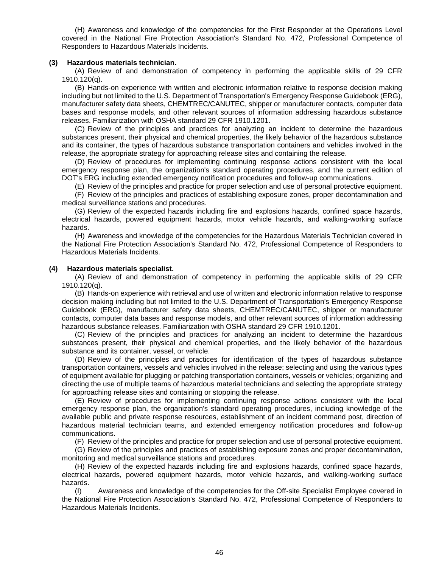(H) Awareness and knowledge of the competencies for the First Responder at the Operations Level covered in the National Fire Protection Association's Standard No. 472, Professional Competence of Responders to Hazardous Materials Incidents.

#### **(3) Hazardous materials technician.**

(A) Review of and demonstration of competency in performing the applicable skills of 29 CFR 1910.120(q).

(B) Hands-on experience with written and electronic information relative to response decision making including but not limited to the U.S. Department of Transportation's Emergency Response Guidebook (ERG), manufacturer safety data sheets, CHEMTREC/CANUTEC, shipper or manufacturer contacts, computer data bases and response models, and other relevant sources of information addressing hazardous substance releases. Familiarization with OSHA standard 29 CFR 1910.1201.

(C) Review of the principles and practices for analyzing an incident to determine the hazardous substances present, their physical and chemical properties, the likely behavior of the hazardous substance and its container, the types of hazardous substance transportation containers and vehicles involved in the release, the appropriate strategy for approaching release sites and containing the release.

(D) Review of procedures for implementing continuing response actions consistent with the local emergency response plan, the organization's standard operating procedures, and the current edition of DOT's ERG including extended emergency notification procedures and follow-up communications.

(E) Review of the principles and practice for proper selection and use of personal protective equipment.

(F) Review of the principles and practices of establishing exposure zones, proper decontamination and medical surveillance stations and procedures.

(G) Review of the expected hazards including fire and explosions hazards, confined space hazards, electrical hazards, powered equipment hazards, motor vehicle hazards, and walking-working surface hazards.

(H) Awareness and knowledge of the competencies for the Hazardous Materials Technician covered in the National Fire Protection Association's Standard No. 472, Professional Competence of Responders to Hazardous Materials Incidents.

#### **(4) Hazardous materials specialist.**

(A) Review of and demonstration of competency in performing the applicable skills of 29 CFR 1910.120(q).

(B) Hands-on experience with retrieval and use of written and electronic information relative to response decision making including but not limited to the U.S. Department of Transportation's Emergency Response Guidebook (ERG), manufacturer safety data sheets, CHEMTREC/CANUTEC, shipper or manufacturer contacts, computer data bases and response models, and other relevant sources of information addressing hazardous substance releases. Familiarization with OSHA standard 29 CFR 1910.1201.

(C) Review of the principles and practices for analyzing an incident to determine the hazardous substances present, their physical and chemical properties, and the likely behavior of the hazardous substance and its container, vessel, or vehicle.

(D) Review of the principles and practices for identification of the types of hazardous substance transportation containers, vessels and vehicles involved in the release; selecting and using the various types of equipment available for plugging or patching transportation containers, vessels or vehicles; organizing and directing the use of multiple teams of hazardous material technicians and selecting the appropriate strategy for approaching release sites and containing or stopping the release.

(E) Review of procedures for implementing continuing response actions consistent with the local emergency response plan, the organization's standard operating procedures, including knowledge of the available public and private response resources, establishment of an incident command post, direction of hazardous material technician teams, and extended emergency notification procedures and follow-up communications.

(F) Review of the principles and practice for proper selection and use of personal protective equipment.

(G) Review of the principles and practices of establishing exposure zones and proper decontamination, monitoring and medical surveillance stations and procedures.

(H) Review of the expected hazards including fire and explosions hazards, confined space hazards, electrical hazards, powered equipment hazards, motor vehicle hazards, and walking-working surface hazards.

(I) Awareness and knowledge of the competencies for the Off-site Specialist Employee covered in the National Fire Protection Association's Standard No. 472, Professional Competence of Responders to Hazardous Materials Incidents.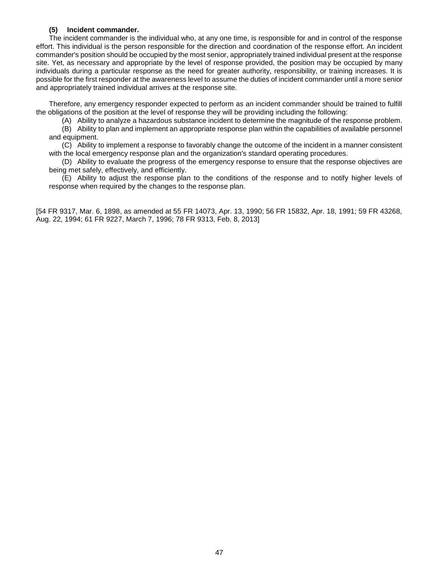### **(5) Incident commander.**

The incident commander is the individual who, at any one time, is responsible for and in control of the response effort. This individual is the person responsible for the direction and coordination of the response effort. An incident commander's position should be occupied by the most senior, appropriately trained individual present at the response site. Yet, as necessary and appropriate by the level of response provided, the position may be occupied by many individuals during a particular response as the need for greater authority, responsibility, or training increases. It is possible for the first responder at the awareness level to assume the duties of incident commander until a more senior and appropriately trained individual arrives at the response site.

Therefore, any emergency responder expected to perform as an incident commander should be trained to fulfill the obligations of the position at the level of response they will be providing including the following:

(A) Ability to analyze a hazardous substance incident to determine the magnitude of the response problem.

(B) Ability to plan and implement an appropriate response plan within the capabilities of available personnel and equipment.

(C) Ability to implement a response to favorably change the outcome of the incident in a manner consistent with the local emergency response plan and the organization's standard operating procedures.

(D) Ability to evaluate the progress of the emergency response to ensure that the response objectives are being met safely, effectively, and efficiently.

(E) Ability to adjust the response plan to the conditions of the response and to notify higher levels of response when required by the changes to the response plan.

[54 FR 9317, Mar. 6, 1898, as amended at 55 FR 14073, Apr. 13, 1990; 56 FR 15832, Apr. 18, 1991; 59 FR 43268, Aug. 22, 1994; 61 FR 9227, March 7, 1996; 78 FR 9313, Feb. 8, 2013]